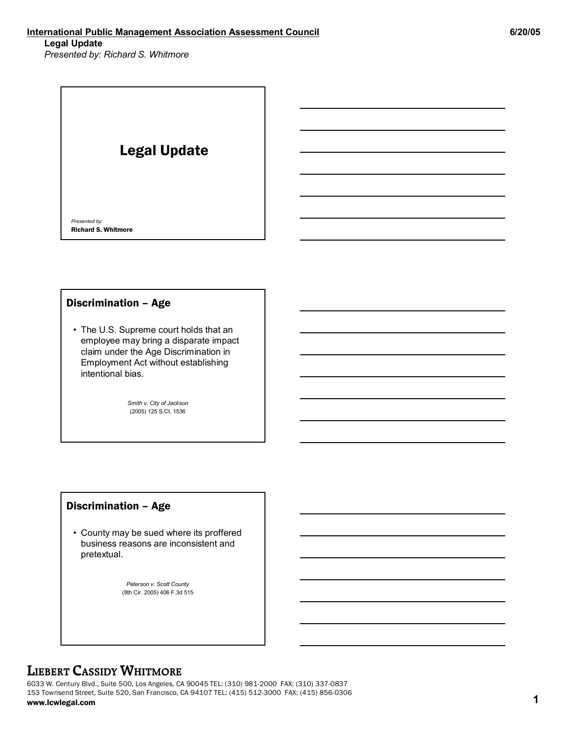### **International Public Management Association Assessment Council 6/20/05 Legal Update**

*Presented by: Richard S. Whitmore*

## Legal Update

*Presented by:* Richard S. Whitmore

### Discrimination – Age

• The U.S. Supreme court holds that an employee may bring a disparate impact claim under the Age Discrimination in Employment Act without establishing intentional bias.

> *Smith v. City of Jackson* (2005) 125 S.Ct. 1536

### Discrimination – Age

• County may be sued where its proffered business reasons are inconsistent and pretextual.

> *Peterson v. Scott County* (8th Cir. 2005) 406 F.3d 515

### **LIEBERT CASSIDY WHITMORE**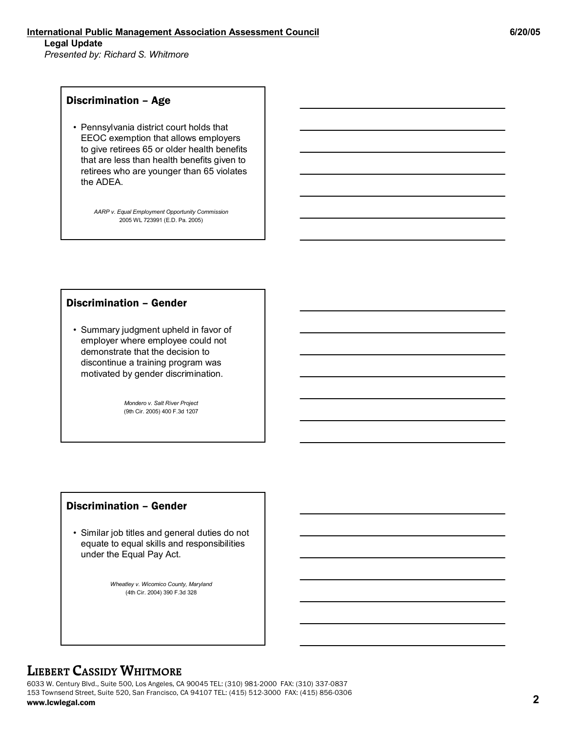### Discrimination – Age

• Pennsylvania district court holds that EEOC exemption that allows employers to give retirees 65 or older health benefits that are less than health benefits given to retirees who are younger than 65 violates the ADEA.

> *AARP v. Equal Employment Opportunity Commission* 2005 WL 723991 (E.D. Pa. 2005)

### Discrimination – Gender

• Summary judgment upheld in favor of employer where employee could not demonstrate that the decision to discontinue a training program was motivated by gender discrimination.

> *Mondero v. Salt River Project* (9th Cir. 2005) 400 F.3d 1207

### Discrimination – Gender

• Similar job titles and general duties do not equate to equal skills and responsibilities under the Equal Pay Act.

> *Wheatley v. Wicomico County, Maryland* (4th Cir. 2004) 390 F.3d 328

### **LIEBERT CASSIDY WHITMORE**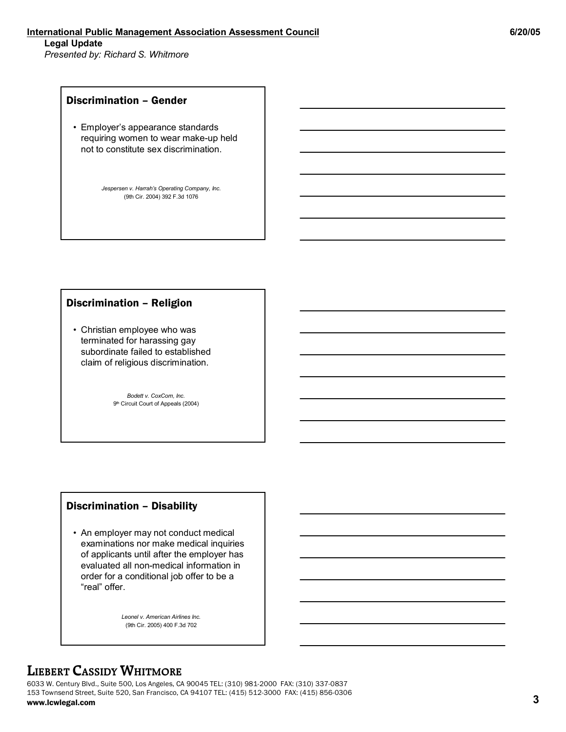### Discrimination – Gender

• Employer's appearance standards requiring women to wear make-up held not to constitute sex discrimination.

> *Jespersen v. Harrah's Operating Company, Inc.* (9th Cir. 2004) 392 F.3d 1076

### Discrimination – Religion

• Christian employee who was terminated for harassing gay subordinate failed to established claim of religious discrimination.

> *Bodett v. CoxCom, Inc.* 9<sup>th</sup> Circuit Court of Appeals (2004)

### Discrimination – Disability

• An employer may not conduct medical examinations nor make medical inquiries of applicants until after the employer has evaluated all non-medical information in order for a conditional job offer to be a "real" offer.

> *Leonel v. American Airlines Inc.* (9th Cir. 2005) 400 F.3d 702

### **LIEBERT CASSIDY WHITMORE**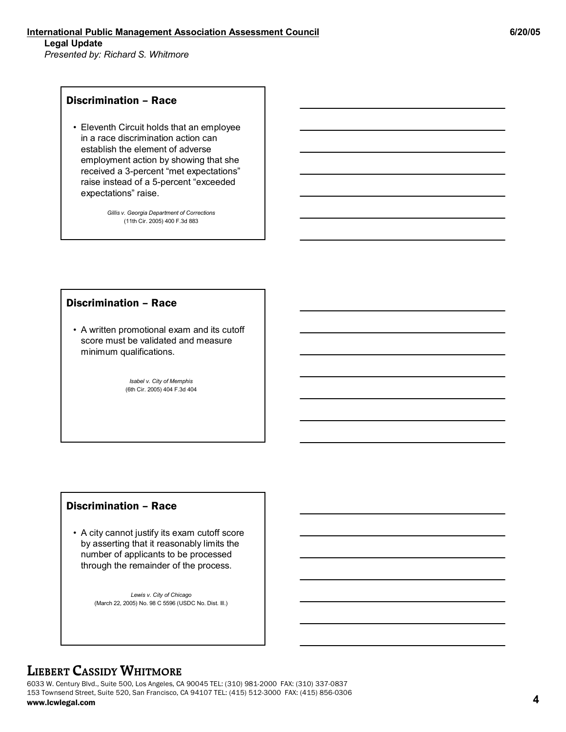### Discrimination – Race

• Eleventh Circuit holds that an employee in a race discrimination action can establish the element of adverse employment action by showing that she received a 3-percent "met expectations" raise instead of a 5-percent "exceeded expectations" raise.

> *Gillis v. Georgia Department of Corrections* (11th Cir. 2005) 400 F.3d 883

#### Discrimination – Race

• A written promotional exam and its cutoff score must be validated and measure minimum qualifications.

> *Isabel v. City of Memphis* (6th Cir. 2005) 404 F.3d 404

### Discrimination – Race

• A city cannot justify its exam cutoff score by asserting that it reasonably limits the number of applicants to be processed through the remainder of the process.

> *Lewis v. City of Chicago* (March 22, 2005) No. 98 C 5596 (USDC No. Dist. Ill.)

### **LIEBERT CASSIDY WHITMORE**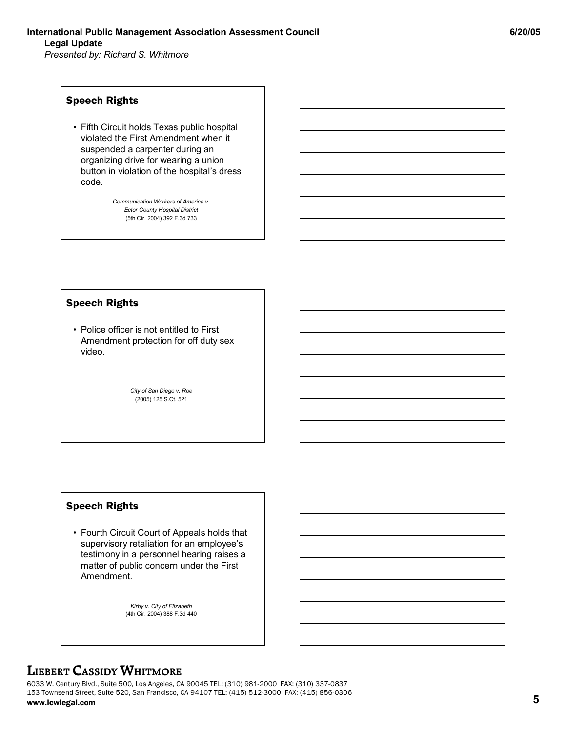### Speech Rights

• Fifth Circuit holds Texas public hospital violated the First Amendment when it suspended a carpenter during an organizing drive for wearing a union button in violation of the hospital's dress code.

> *Communication Workers of America v. Ector County Hospital District* (5th Cir. 2004) 392 F.3d 733

#### Speech Rights

• Police officer is not entitled to First Amendment protection for off duty sex video.

> *City of San Diego v. Roe* (2005) 125 S.Ct. 521

### Speech Rights

• Fourth Circuit Court of Appeals holds that supervisory retaliation for an employee's testimony in a personnel hearing raises a matter of public concern under the First Amendment.

> *Kirby v. City of Elizabeth* (4th Cir. 2004) 388 F.3d 440

### **LIEBERT CASSIDY WHITMORE**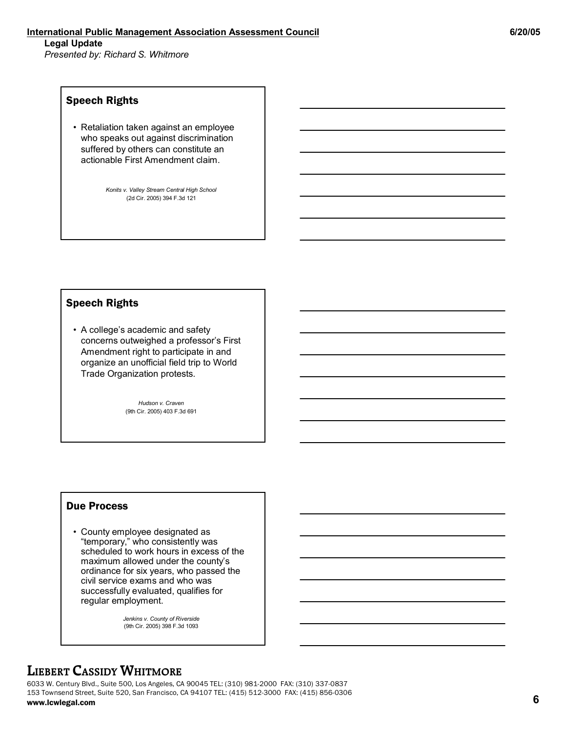### Speech Rights

• Retaliation taken against an employee who speaks out against discrimination suffered by others can constitute an actionable First Amendment claim.

> *Konits v. Valley Stream Central High School*  (2d Cir. 2005) 394 F.3d 121

### Speech Rights

• A college's academic and safety concerns outweighed a professor's First Amendment right to participate in and organize an unofficial field trip to World Trade Organization protests.

> *Hudson v. Craven* (9th Cir. 2005) 403 F.3d 691

### Due Process

• County employee designated as "temporary," who consistently was scheduled to work hours in excess of the maximum allowed under the county's ordinance for six years, who passed the civil service exams and who was successfully evaluated, qualifies for regular employment.

> *Jenkins v. County of Riverside* (9th Cir. 2005) 398 F.3d 1093

### **LIEBERT CASSIDY WHITMORE**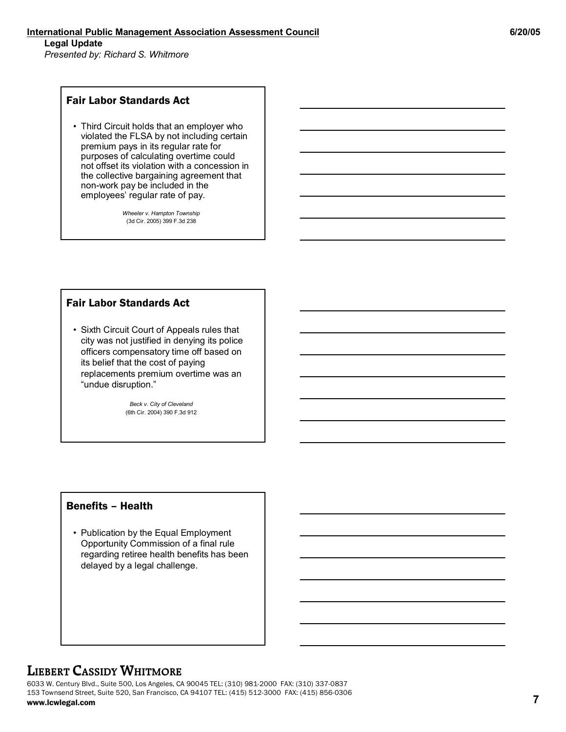### Fair Labor Standards Act

• Third Circuit holds that an employer who violated the FLSA by not including certain premium pays in its regular rate for purposes of calculating overtime could not offset its violation with a concession in the collective bargaining agreement that non-work pay be included in the employees' regular rate of pay.

> *Wheeler v. Hampton Township* (3d Cir. 2005) 399 F.3d 238

### Fair Labor Standards Act

• Sixth Circuit Court of Appeals rules that city was not justified in denying its police officers compensatory time off based on its belief that the cost of paying replacements premium overtime was an "undue disruption."

> *Beck v. City of Cleveland* (6th Cir. 2004) 390 F.3d 912

### Benefits – Health

• Publication by the Equal Employment Opportunity Commission of a final rule regarding retiree health benefits has been delayed by a legal challenge.

### **LIEBERT CASSIDY WHITMORE**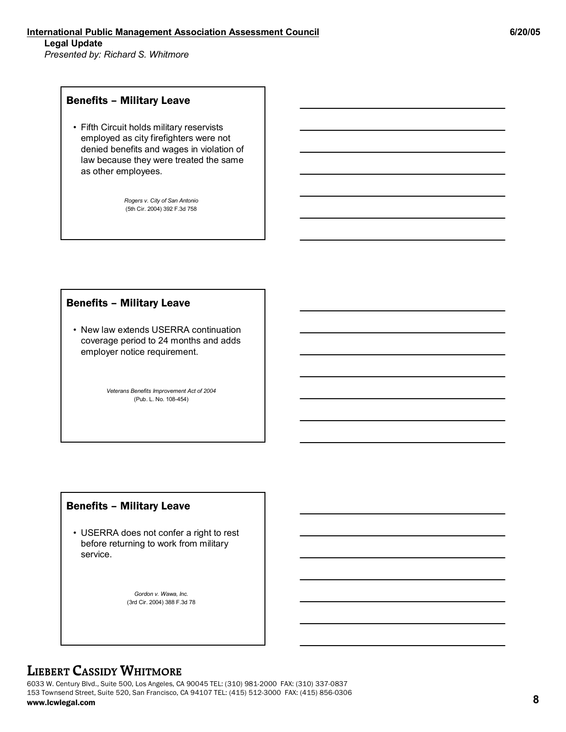### Benefits – Military Leave

• Fifth Circuit holds military reservists employed as city firefighters were not denied benefits and wages in violation of law because they were treated the same as other employees.

> *Rogers v. City of San Antonio* (5th Cir. 2004) 392 F.3d 758

#### Benefits – Military Leave

• New law extends USERRA continuation coverage period to 24 months and adds employer notice requirement.

> *Veterans Benefits Improvement Act of 2004*  (Pub. L. No. 108-454)

### Benefits – Military Leave

• USERRA does not confer a right to rest before returning to work from military service.

> *Gordon v. Wawa, Inc.* (3rd Cir. 2004) 388 F.3d 78

### **LIEBERT CASSIDY WHITMORE**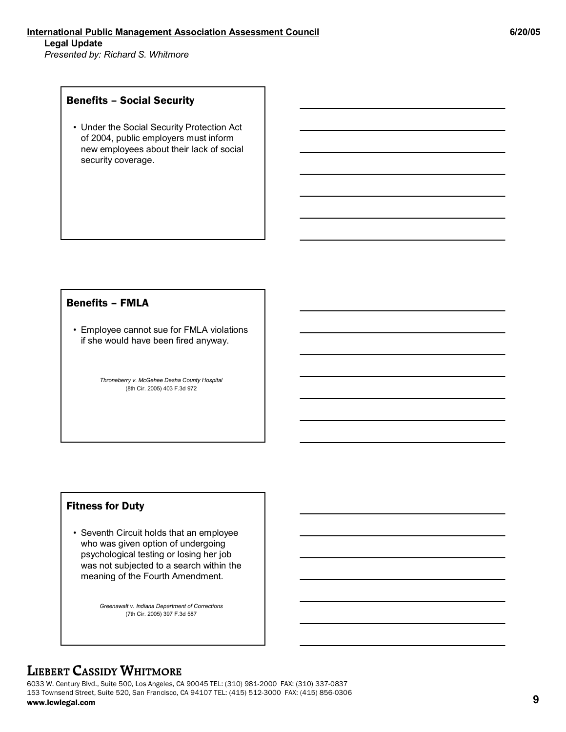### Benefits – Social Security

• Under the Social Security Protection Act of 2004, public employers must inform new employees about their lack of social security coverage.

### Benefits – FMLA

• Employee cannot sue for FMLA violations if she would have been fired anyway.

> *Throneberry v. McGehee Desha County Hospital* (8th Cir. 2005) 403 F.3d 972

### Fitness for Duty

• Seventh Circuit holds that an employee who was given option of undergoing psychological testing or losing her job was not subjected to a search within the meaning of the Fourth Amendment.

> *Greenawalt v. Indiana Department of Corrections* (7th Cir. 2005) 397 F.3d 587

### **LIEBERT CASSIDY WHITMORE**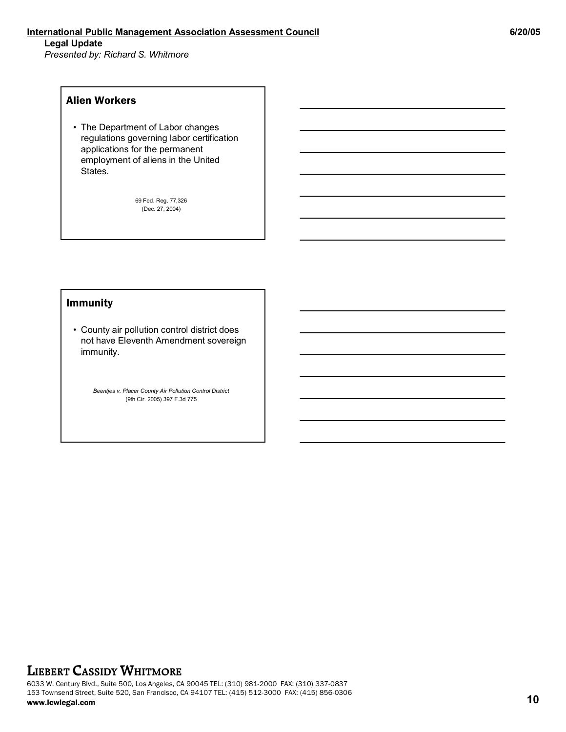#### Alien Workers

• The Department of Labor changes regulations governing labor certification applications for the permanent employment of aliens in the United States.

> 69 Fed. Reg. 77,326 (Dec. 27, 2004)

#### Immunity

• County air pollution control district does not have Eleventh Amendment sovereign immunity.

> *Beentjes v. Placer County Air Pollution Control District* (9th Cir. 2005) 397 F.3d 775

### **LIEBERT CASSIDY WHITMORE**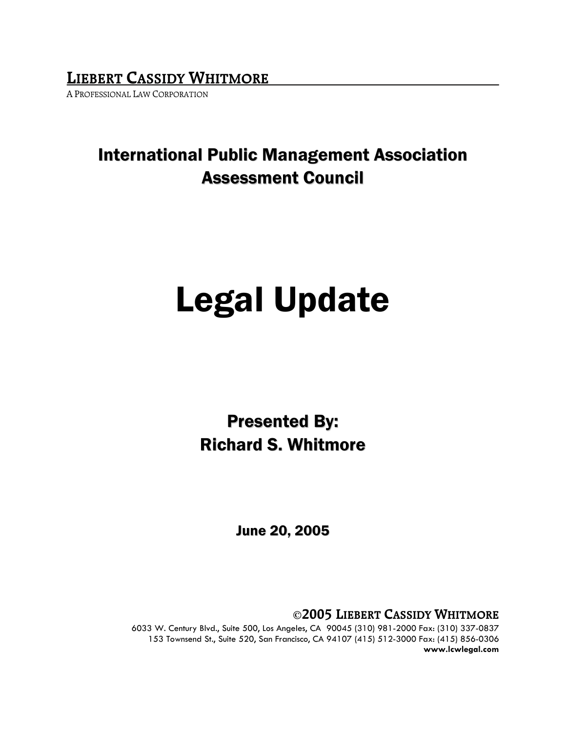**LIEBERT CASSIDY WHITMORE**

A PROFESSIONAL LAW CORPORATION

## International Public Management Association Assessment Council

# Legal Update

Presented By: Richard S. Whitmore

June 20, 2005

**©2005 LIEBERT CASSIDY WHITMORE**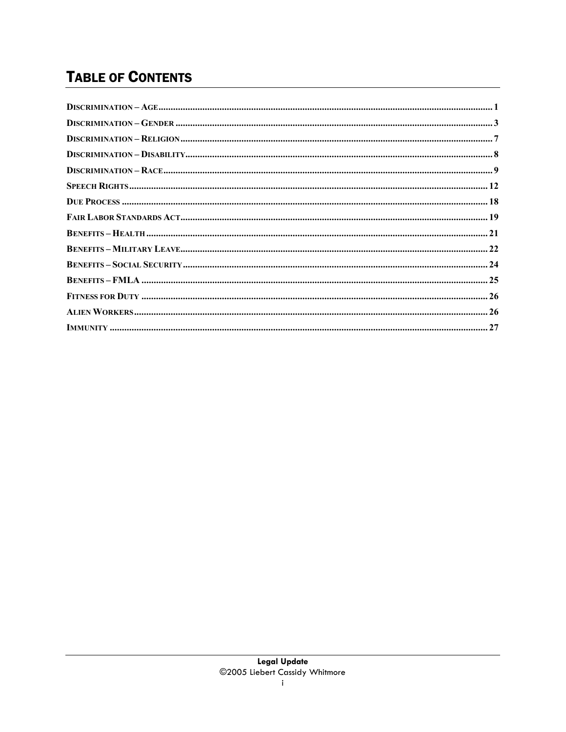## **TABLE OF CONTENTS**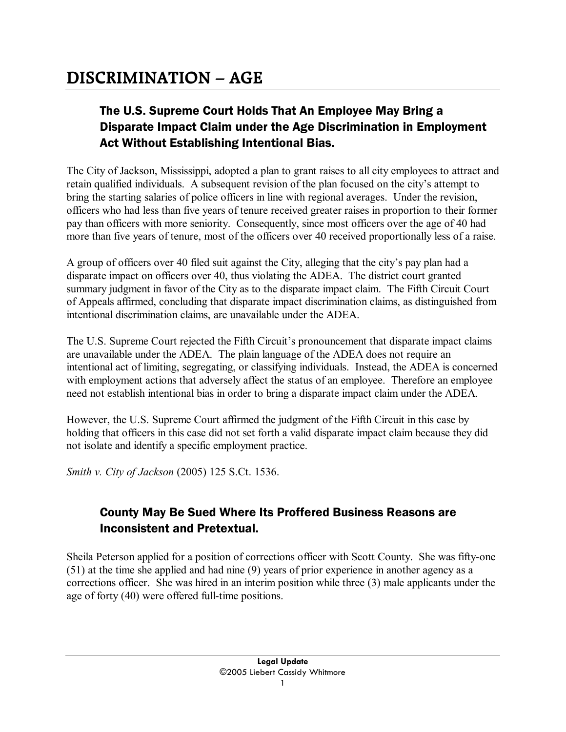## The U.S. Supreme Court Holds That An Employee May Bring a Disparate Impact Claim under the Age Discrimination in Employment Act Without Establishing Intentional Bias.

The City of Jackson, Mississippi, adopted a plan to grant raises to all city employees to attract and retain qualified individuals. A subsequent revision of the plan focused on the city's attempt to bring the starting salaries of police officers in line with regional averages. Under the revision, officers who had less than five years of tenure received greater raises in proportion to their former pay than officers with more seniority. Consequently, since most officers over the age of 40 had more than five years of tenure, most of the officers over 40 received proportionally less of a raise.

A group of officers over 40 filed suit against the City, alleging that the city's pay plan had a disparate impact on officers over 40, thus violating the ADEA. The district court granted summary judgment in favor of the City as to the disparate impact claim. The Fifth Circuit Court of Appeals affirmed, concluding that disparate impact discrimination claims, as distinguished from intentional discrimination claims, are unavailable under the ADEA.

The U.S. Supreme Court rejected the Fifth Circuit's pronouncement that disparate impact claims are unavailable under the ADEA. The plain language of the ADEA does not require an intentional act of limiting, segregating, or classifying individuals. Instead, the ADEA is concerned with employment actions that adversely affect the status of an employee. Therefore an employee need not establish intentional bias in order to bring a disparate impact claim under the ADEA.

However, the U.S. Supreme Court affirmed the judgment of the Fifth Circuit in this case by holding that officers in this case did not set forth a valid disparate impact claim because they did not isolate and identify a specific employment practice.

*Smith v. City of Jackson* (2005) 125 S.Ct. 1536.

### County May Be Sued Where Its Proffered Business Reasons are Inconsistent and Pretextual.

Sheila Peterson applied for a position of corrections officer with Scott County. She was fifty-one (51) at the time she applied and had nine (9) years of prior experience in another agency as a corrections officer. She was hired in an interim position while three (3) male applicants under the age of forty (40) were offered full-time positions.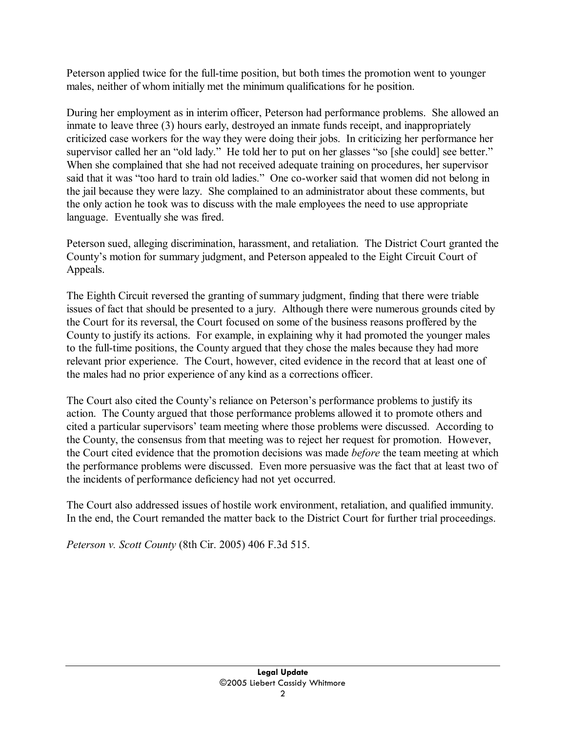Peterson applied twice for the full-time position, but both times the promotion went to younger males, neither of whom initially met the minimum qualifications for he position.

During her employment as in interim officer, Peterson had performance problems. She allowed an inmate to leave three (3) hours early, destroyed an inmate funds receipt, and inappropriately criticized case workers for the way they were doing their jobs. In criticizing her performance her supervisor called her an "old lady." He told her to put on her glasses "so [she could] see better." When she complained that she had not received adequate training on procedures, her supervisor said that it was "too hard to train old ladies." One co-worker said that women did not belong in the jail because they were lazy. She complained to an administrator about these comments, but the only action he took was to discuss with the male employees the need to use appropriate language. Eventually she was fired.

Peterson sued, alleging discrimination, harassment, and retaliation. The District Court granted the County's motion for summary judgment, and Peterson appealed to the Eight Circuit Court of Appeals.

The Eighth Circuit reversed the granting of summary judgment, finding that there were triable issues of fact that should be presented to a jury. Although there were numerous grounds cited by the Court for its reversal, the Court focused on some of the business reasons proffered by the County to justify its actions. For example, in explaining why it had promoted the younger males to the full-time positions, the County argued that they chose the males because they had more relevant prior experience. The Court, however, cited evidence in the record that at least one of the males had no prior experience of any kind as a corrections officer.

The Court also cited the County's reliance on Peterson's performance problems to justify its action. The County argued that those performance problems allowed it to promote others and cited a particular supervisors' team meeting where those problems were discussed. According to the County, the consensus from that meeting was to reject her request for promotion. However, the Court cited evidence that the promotion decisions was made *before* the team meeting at which the performance problems were discussed. Even more persuasive was the fact that at least two of the incidents of performance deficiency had not yet occurred.

The Court also addressed issues of hostile work environment, retaliation, and qualified immunity. In the end, the Court remanded the matter back to the District Court for further trial proceedings.

*Peterson v. Scott County* (8th Cir. 2005) 406 F.3d 515.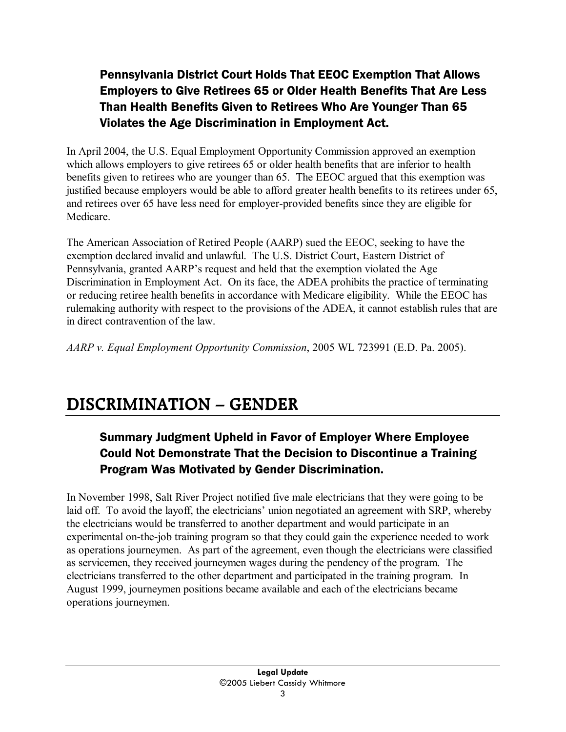## Pennsylvania District Court Holds That EEOC Exemption That Allows Employers to Give Retirees 65 or Older Health Benefits That Are Less Than Health Benefits Given to Retirees Who Are Younger Than 65 Violates the Age Discrimination in Employment Act.

In April 2004, the U.S. Equal Employment Opportunity Commission approved an exemption which allows employers to give retirees 65 or older health benefits that are inferior to health benefits given to retirees who are younger than 65. The EEOC argued that this exemption was justified because employers would be able to afford greater health benefits to its retirees under 65, and retirees over 65 have less need for employer-provided benefits since they are eligible for Medicare.

The American Association of Retired People (AARP) sued the EEOC, seeking to have the exemption declared invalid and unlawful. The U.S. District Court, Eastern District of Pennsylvania, granted AARP's request and held that the exemption violated the Age Discrimination in Employment Act. On its face, the ADEA prohibits the practice of terminating or reducing retiree health benefits in accordance with Medicare eligibility. While the EEOC has rulemaking authority with respect to the provisions of the ADEA, it cannot establish rules that are in direct contravention of the law.

*AARP v. Equal Employment Opportunity Commission*, 2005 WL 723991 (E.D. Pa. 2005).

## **DISCRIMINATION – GENDER**

## Summary Judgment Upheld in Favor of Employer Where Employee Could Not Demonstrate That the Decision to Discontinue a Training Program Was Motivated by Gender Discrimination.

In November 1998, Salt River Project notified five male electricians that they were going to be laid off. To avoid the layoff, the electricians' union negotiated an agreement with SRP, whereby the electricians would be transferred to another department and would participate in an experimental on-the-job training program so that they could gain the experience needed to work as operations journeymen. As part of the agreement, even though the electricians were classified as servicemen, they received journeymen wages during the pendency of the program. The electricians transferred to the other department and participated in the training program. In August 1999, journeymen positions became available and each of the electricians became operations journeymen.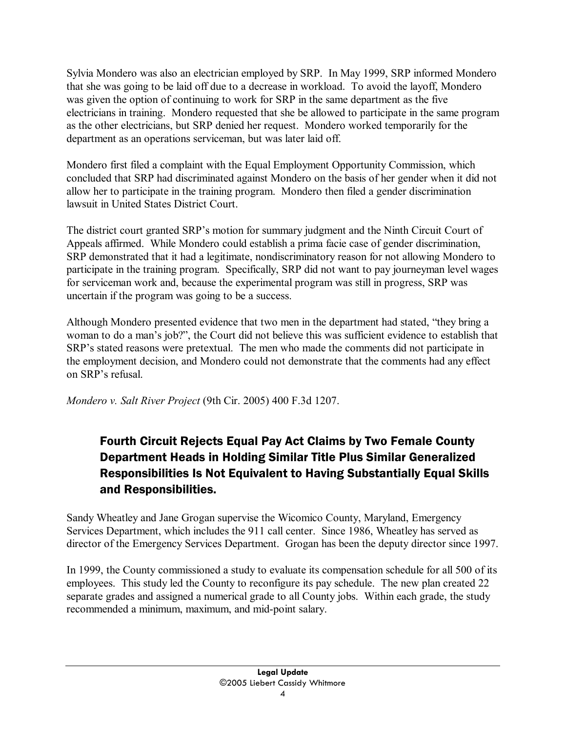Sylvia Mondero was also an electrician employed by SRP. In May 1999, SRP informed Mondero that she was going to be laid off due to a decrease in workload. To avoid the layoff, Mondero was given the option of continuing to work for SRP in the same department as the five electricians in training. Mondero requested that she be allowed to participate in the same program as the other electricians, but SRP denied her request. Mondero worked temporarily for the department as an operations serviceman, but was later laid off.

Mondero first filed a complaint with the Equal Employment Opportunity Commission, which concluded that SRP had discriminated against Mondero on the basis of her gender when it did not allow her to participate in the training program. Mondero then filed a gender discrimination lawsuit in United States District Court.

The district court granted SRP's motion for summary judgment and the Ninth Circuit Court of Appeals affirmed. While Mondero could establish a prima facie case of gender discrimination, SRP demonstrated that it had a legitimate, nondiscriminatory reason for not allowing Mondero to participate in the training program. Specifically, SRP did not want to pay journeyman level wages for serviceman work and, because the experimental program was still in progress, SRP was uncertain if the program was going to be a success.

Although Mondero presented evidence that two men in the department had stated, "they bring a woman to do a man's job?", the Court did not believe this was sufficient evidence to establish that SRP's stated reasons were pretextual. The men who made the comments did not participate in the employment decision, and Mondero could not demonstrate that the comments had any effect on SRP's refusal.

*Mondero v. Salt River Project* (9th Cir. 2005) 400 F.3d 1207.

## Fourth Circuit Rejects Equal Pay Act Claims by Two Female County Department Heads in Holding Similar Title Plus Similar Generalized Responsibilities Is Not Equivalent to Having Substantially Equal Skills and Responsibilities.

Sandy Wheatley and Jane Grogan supervise the Wicomico County, Maryland, Emergency Services Department, which includes the 911 call center. Since 1986, Wheatley has served as director of the Emergency Services Department. Grogan has been the deputy director since 1997.

In 1999, the County commissioned a study to evaluate its compensation schedule for all 500 of its employees. This study led the County to reconfigure its pay schedule. The new plan created 22 separate grades and assigned a numerical grade to all County jobs. Within each grade, the study recommended a minimum, maximum, and mid-point salary.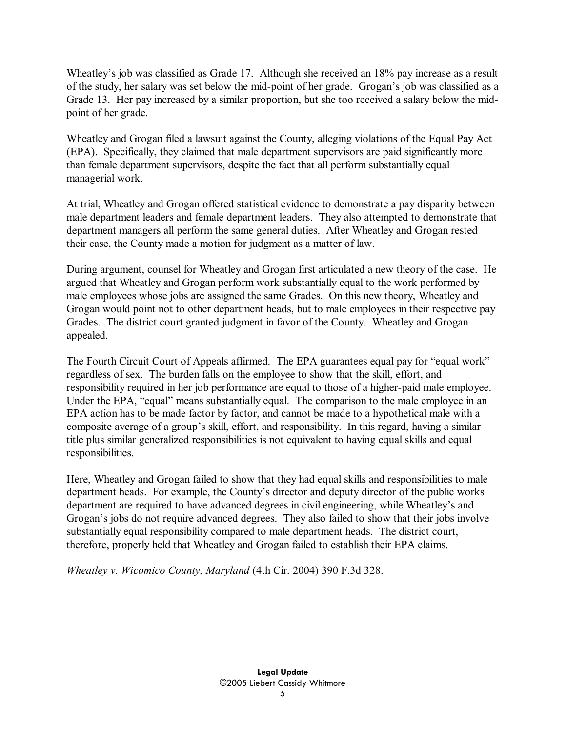Wheatley's job was classified as Grade 17. Although she received an 18% pay increase as a result of the study, her salary was set below the mid-point of her grade. Grogan's job was classified as a Grade 13. Her pay increased by a similar proportion, but she too received a salary below the midpoint of her grade.

Wheatley and Grogan filed a lawsuit against the County, alleging violations of the Equal Pay Act (EPA). Specifically, they claimed that male department supervisors are paid significantly more than female department supervisors, despite the fact that all perform substantially equal managerial work.

At trial, Wheatley and Grogan offered statistical evidence to demonstrate a pay disparity between male department leaders and female department leaders. They also attempted to demonstrate that department managers all perform the same general duties. After Wheatley and Grogan rested their case, the County made a motion for judgment as a matter of law.

During argument, counsel for Wheatley and Grogan first articulated a new theory of the case. He argued that Wheatley and Grogan perform work substantially equal to the work performed by male employees whose jobs are assigned the same Grades. On this new theory, Wheatley and Grogan would point not to other department heads, but to male employees in their respective pay Grades. The district court granted judgment in favor of the County. Wheatley and Grogan appealed.

The Fourth Circuit Court of Appeals affirmed. The EPA guarantees equal pay for "equal work" regardless of sex. The burden falls on the employee to show that the skill, effort, and responsibility required in her job performance are equal to those of a higher-paid male employee. Under the EPA, "equal" means substantially equal. The comparison to the male employee in an EPA action has to be made factor by factor, and cannot be made to a hypothetical male with a composite average of a group's skill, effort, and responsibility. In this regard, having a similar title plus similar generalized responsibilities is not equivalent to having equal skills and equal responsibilities.

Here, Wheatley and Grogan failed to show that they had equal skills and responsibilities to male department heads. For example, the County's director and deputy director of the public works department are required to have advanced degrees in civil engineering, while Wheatley's and Grogan's jobs do not require advanced degrees. They also failed to show that their jobs involve substantially equal responsibility compared to male department heads. The district court, therefore, properly held that Wheatley and Grogan failed to establish their EPA claims.

*Wheatley v. Wicomico County, Maryland* (4th Cir. 2004) 390 F.3d 328.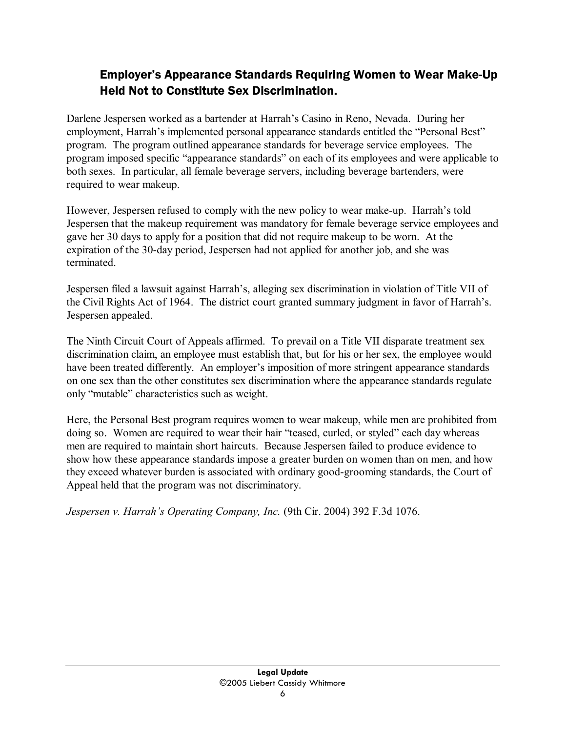### Employer's Appearance Standards Requiring Women to Wear Make-Up Held Not to Constitute Sex Discrimination.

Darlene Jespersen worked as a bartender at Harrah's Casino in Reno, Nevada. During her employment, Harrah's implemented personal appearance standards entitled the "Personal Best" program. The program outlined appearance standards for beverage service employees. The program imposed specific "appearance standards" on each of its employees and were applicable to both sexes. In particular, all female beverage servers, including beverage bartenders, were required to wear makeup.

However, Jespersen refused to comply with the new policy to wear make-up. Harrah's told Jespersen that the makeup requirement was mandatory for female beverage service employees and gave her 30 days to apply for a position that did not require makeup to be worn. At the expiration of the 30-day period, Jespersen had not applied for another job, and she was terminated.

Jespersen filed a lawsuit against Harrah's, alleging sex discrimination in violation of Title VII of the Civil Rights Act of 1964. The district court granted summary judgment in favor of Harrah's. Jespersen appealed.

The Ninth Circuit Court of Appeals affirmed. To prevail on a Title VII disparate treatment sex discrimination claim, an employee must establish that, but for his or her sex, the employee would have been treated differently. An employer's imposition of more stringent appearance standards on one sex than the other constitutes sex discrimination where the appearance standards regulate only "mutable" characteristics such as weight.

Here, the Personal Best program requires women to wear makeup, while men are prohibited from doing so. Women are required to wear their hair "teased, curled, or styled" each day whereas men are required to maintain short haircuts. Because Jespersen failed to produce evidence to show how these appearance standards impose a greater burden on women than on men, and how they exceed whatever burden is associated with ordinary good-grooming standards, the Court of Appeal held that the program was not discriminatory.

*Jespersen v. Harrah's Operating Company, Inc.* (9th Cir. 2004) 392 F.3d 1076.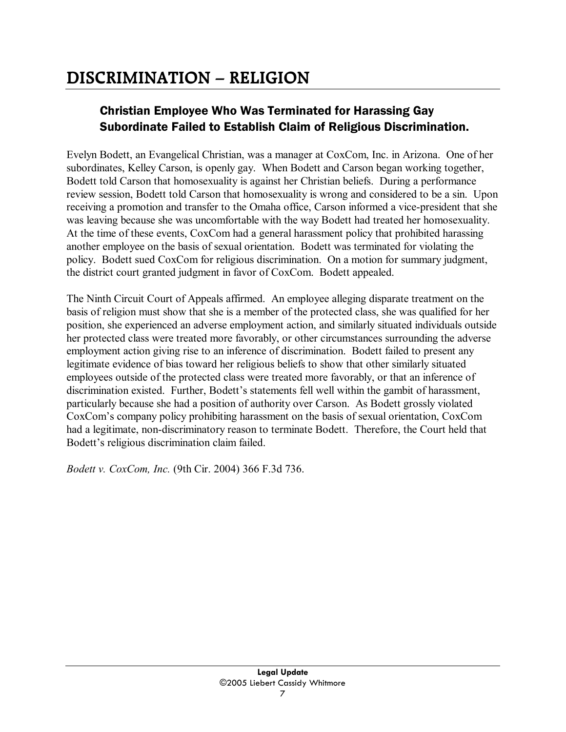## **DISCRIMINATION – RELIGION**

## Christian Employee Who Was Terminated for Harassing Gay Subordinate Failed to Establish Claim of Religious Discrimination.

Evelyn Bodett, an Evangelical Christian, was a manager at CoxCom, Inc. in Arizona. One of her subordinates, Kelley Carson, is openly gay. When Bodett and Carson began working together, Bodett told Carson that homosexuality is against her Christian beliefs. During a performance review session, Bodett told Carson that homosexuality is wrong and considered to be a sin. Upon receiving a promotion and transfer to the Omaha office, Carson informed a vice-president that she was leaving because she was uncomfortable with the way Bodett had treated her homosexuality. At the time of these events, CoxCom had a general harassment policy that prohibited harassing another employee on the basis of sexual orientation. Bodett was terminated for violating the policy. Bodett sued CoxCom for religious discrimination. On a motion for summary judgment, the district court granted judgment in favor of CoxCom. Bodett appealed.

The Ninth Circuit Court of Appeals affirmed. An employee alleging disparate treatment on the basis of religion must show that she is a member of the protected class, she was qualified for her position, she experienced an adverse employment action, and similarly situated individuals outside her protected class were treated more favorably, or other circumstances surrounding the adverse employment action giving rise to an inference of discrimination. Bodett failed to present any legitimate evidence of bias toward her religious beliefs to show that other similarly situated employees outside of the protected class were treated more favorably, or that an inference of discrimination existed. Further, Bodett's statements fell well within the gambit of harassment, particularly because she had a position of authority over Carson. As Bodett grossly violated CoxCom's company policy prohibiting harassment on the basis of sexual orientation, CoxCom had a legitimate, non-discriminatory reason to terminate Bodett. Therefore, the Court held that Bodett's religious discrimination claim failed.

*Bodett v. CoxCom, Inc.* (9th Cir. 2004) 366 F.3d 736.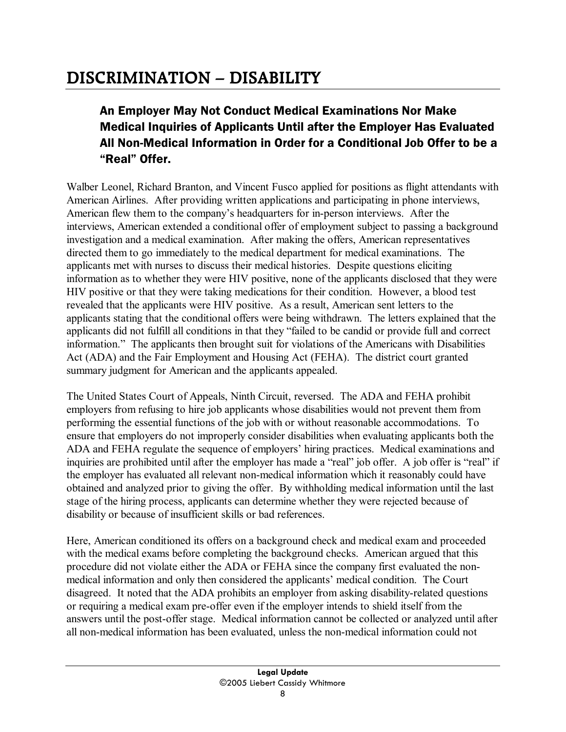## **DISCRIMINATION – DISABILITY**

## An Employer May Not Conduct Medical Examinations Nor Make Medical Inquiries of Applicants Until after the Employer Has Evaluated All Non-Medical Information in Order for a Conditional Job Offer to be a "Real" Offer.

Walber Leonel, Richard Branton, and Vincent Fusco applied for positions as flight attendants with American Airlines. After providing written applications and participating in phone interviews, American flew them to the company's headquarters for in-person interviews. After the interviews, American extended a conditional offer of employment subject to passing a background investigation and a medical examination. After making the offers, American representatives directed them to go immediately to the medical department for medical examinations. The applicants met with nurses to discuss their medical histories. Despite questions eliciting information as to whether they were HIV positive, none of the applicants disclosed that they were HIV positive or that they were taking medications for their condition. However, a blood test revealed that the applicants were HIV positive. As a result, American sent letters to the applicants stating that the conditional offers were being withdrawn. The letters explained that the applicants did not fulfill all conditions in that they "failed to be candid or provide full and correct information." The applicants then brought suit for violations of the Americans with Disabilities Act (ADA) and the Fair Employment and Housing Act (FEHA). The district court granted summary judgment for American and the applicants appealed.

The United States Court of Appeals, Ninth Circuit, reversed. The ADA and FEHA prohibit employers from refusing to hire job applicants whose disabilities would not prevent them from performing the essential functions of the job with or without reasonable accommodations. To ensure that employers do not improperly consider disabilities when evaluating applicants both the ADA and FEHA regulate the sequence of employers' hiring practices. Medical examinations and inquiries are prohibited until after the employer has made a "real" job offer. A job offer is "real" if the employer has evaluated all relevant non-medical information which it reasonably could have obtained and analyzed prior to giving the offer. By withholding medical information until the last stage of the hiring process, applicants can determine whether they were rejected because of disability or because of insufficient skills or bad references.

Here, American conditioned its offers on a background check and medical exam and proceeded with the medical exams before completing the background checks. American argued that this procedure did not violate either the ADA or FEHA since the company first evaluated the nonmedical information and only then considered the applicants' medical condition. The Court disagreed. It noted that the ADA prohibits an employer from asking disability-related questions or requiring a medical exam pre-offer even if the employer intends to shield itself from the answers until the post-offer stage. Medical information cannot be collected or analyzed until after all non-medical information has been evaluated, unless the non-medical information could not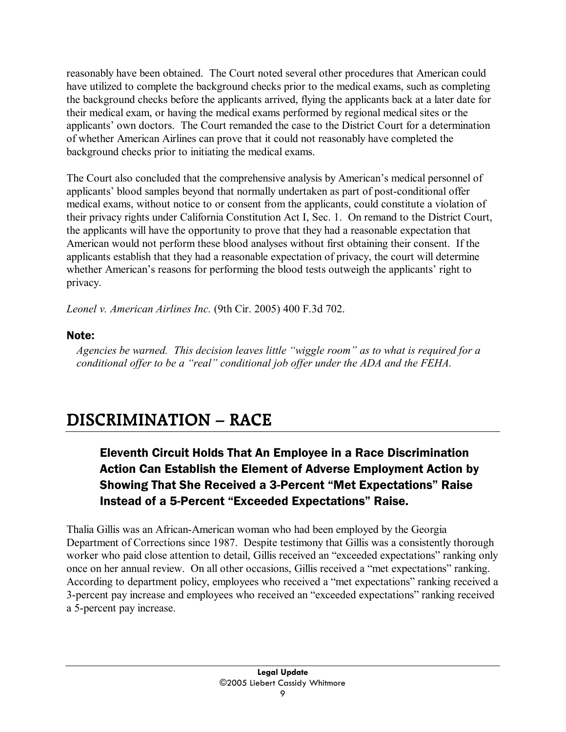reasonably have been obtained. The Court noted several other procedures that American could have utilized to complete the background checks prior to the medical exams, such as completing the background checks before the applicants arrived, flying the applicants back at a later date for their medical exam, or having the medical exams performed by regional medical sites or the applicants' own doctors. The Court remanded the case to the District Court for a determination of whether American Airlines can prove that it could not reasonably have completed the background checks prior to initiating the medical exams.

The Court also concluded that the comprehensive analysis by American's medical personnel of applicants' blood samples beyond that normally undertaken as part of post-conditional offer medical exams, without notice to or consent from the applicants, could constitute a violation of their privacy rights under California Constitution Act I, Sec. 1. On remand to the District Court, the applicants will have the opportunity to prove that they had a reasonable expectation that American would not perform these blood analyses without first obtaining their consent. If the applicants establish that they had a reasonable expectation of privacy, the court will determine whether American's reasons for performing the blood tests outweigh the applicants' right to privacy.

*Leonel v. American Airlines Inc.* (9th Cir. 2005) 400 F.3d 702.

### Note:

*Agencies be warned. This decision leaves little "wiggle room" as to what is required for a conditional offer to be a "real" conditional job offer under the ADA and the FEHA.* 

## **DISCRIMINATION – RACE**

## Eleventh Circuit Holds That An Employee in a Race Discrimination Action Can Establish the Element of Adverse Employment Action by Showing That She Received a 3-Percent "Met Expectations" Raise Instead of a 5-Percent "Exceeded Expectations" Raise.

Thalia Gillis was an African-American woman who had been employed by the Georgia Department of Corrections since 1987. Despite testimony that Gillis was a consistently thorough worker who paid close attention to detail, Gillis received an "exceeded expectations" ranking only once on her annual review. On all other occasions, Gillis received a "met expectations" ranking. According to department policy, employees who received a "met expectations" ranking received a 3-percent pay increase and employees who received an "exceeded expectations" ranking received a 5-percent pay increase.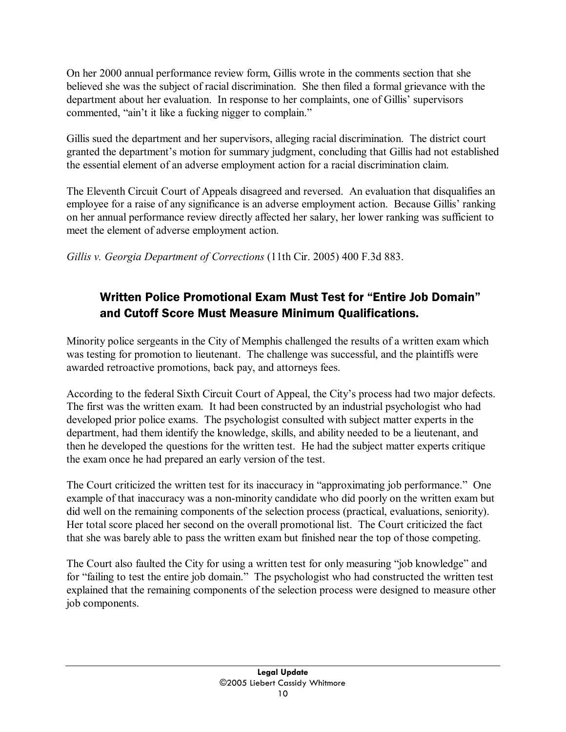On her 2000 annual performance review form, Gillis wrote in the comments section that she believed she was the subject of racial discrimination. She then filed a formal grievance with the department about her evaluation. In response to her complaints, one of Gillis' supervisors commented, "ain't it like a fucking nigger to complain."

Gillis sued the department and her supervisors, alleging racial discrimination. The district court granted the department's motion for summary judgment, concluding that Gillis had not established the essential element of an adverse employment action for a racial discrimination claim.

The Eleventh Circuit Court of Appeals disagreed and reversed. An evaluation that disqualifies an employee for a raise of any significance is an adverse employment action. Because Gillis' ranking on her annual performance review directly affected her salary, her lower ranking was sufficient to meet the element of adverse employment action.

*Gillis v. Georgia Department of Corrections* (11th Cir. 2005) 400 F.3d 883.

## Written Police Promotional Exam Must Test for "Entire Job Domain" and Cutoff Score Must Measure Minimum Qualifications.

Minority police sergeants in the City of Memphis challenged the results of a written exam which was testing for promotion to lieutenant. The challenge was successful, and the plaintiffs were awarded retroactive promotions, back pay, and attorneys fees.

According to the federal Sixth Circuit Court of Appeal, the City's process had two major defects. The first was the written exam. It had been constructed by an industrial psychologist who had developed prior police exams. The psychologist consulted with subject matter experts in the department, had them identify the knowledge, skills, and ability needed to be a lieutenant, and then he developed the questions for the written test. He had the subject matter experts critique the exam once he had prepared an early version of the test.

The Court criticized the written test for its inaccuracy in "approximating job performance." One example of that inaccuracy was a non-minority candidate who did poorly on the written exam but did well on the remaining components of the selection process (practical, evaluations, seniority). Her total score placed her second on the overall promotional list. The Court criticized the fact that she was barely able to pass the written exam but finished near the top of those competing.

The Court also faulted the City for using a written test for only measuring "job knowledge" and for "failing to test the entire job domain." The psychologist who had constructed the written test explained that the remaining components of the selection process were designed to measure other job components.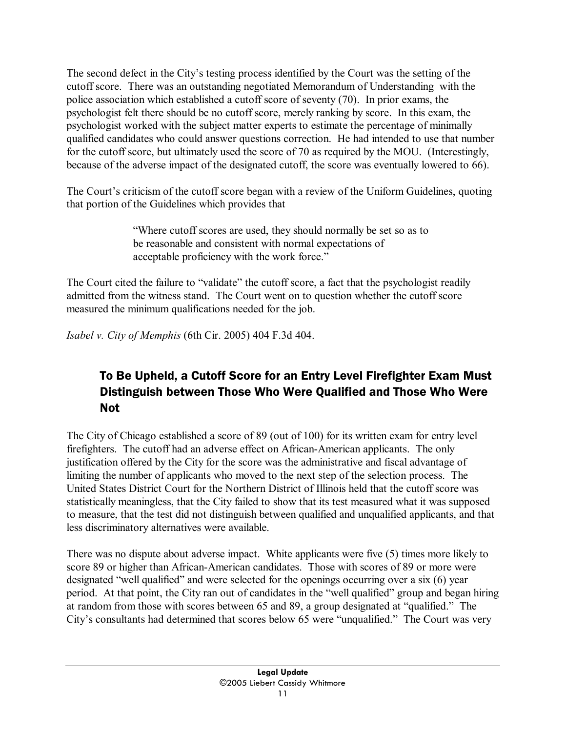The second defect in the City's testing process identified by the Court was the setting of the cutoff score. There was an outstanding negotiated Memorandum of Understanding with the police association which established a cutoff score of seventy (70). In prior exams, the psychologist felt there should be no cutoff score, merely ranking by score. In this exam, the psychologist worked with the subject matter experts to estimate the percentage of minimally qualified candidates who could answer questions correction. He had intended to use that number for the cutoff score, but ultimately used the score of 70 as required by the MOU. (Interestingly, because of the adverse impact of the designated cutoff, the score was eventually lowered to 66).

The Court's criticism of the cutoff score began with a review of the Uniform Guidelines, quoting that portion of the Guidelines which provides that

> "Where cutoff scores are used, they should normally be set so as to be reasonable and consistent with normal expectations of acceptable proficiency with the work force."

The Court cited the failure to "validate" the cutoff score, a fact that the psychologist readily admitted from the witness stand. The Court went on to question whether the cutoff score measured the minimum qualifications needed for the job.

*Isabel v. City of Memphis* (6th Cir. 2005) 404 F.3d 404.

## To Be Upheld, a Cutoff Score for an Entry Level Firefighter Exam Must Distinguish between Those Who Were Qualified and Those Who Were Not

The City of Chicago established a score of 89 (out of 100) for its written exam for entry level firefighters. The cutoff had an adverse effect on African-American applicants. The only justification offered by the City for the score was the administrative and fiscal advantage of limiting the number of applicants who moved to the next step of the selection process. The United States District Court for the Northern District of Illinois held that the cutoff score was statistically meaningless, that the City failed to show that its test measured what it was supposed to measure, that the test did not distinguish between qualified and unqualified applicants, and that less discriminatory alternatives were available.

There was no dispute about adverse impact. White applicants were five (5) times more likely to score 89 or higher than African-American candidates. Those with scores of 89 or more were designated "well qualified" and were selected for the openings occurring over a six (6) year period. At that point, the City ran out of candidates in the "well qualified" group and began hiring at random from those with scores between 65 and 89, a group designated at "qualified." The City's consultants had determined that scores below 65 were "unqualified." The Court was very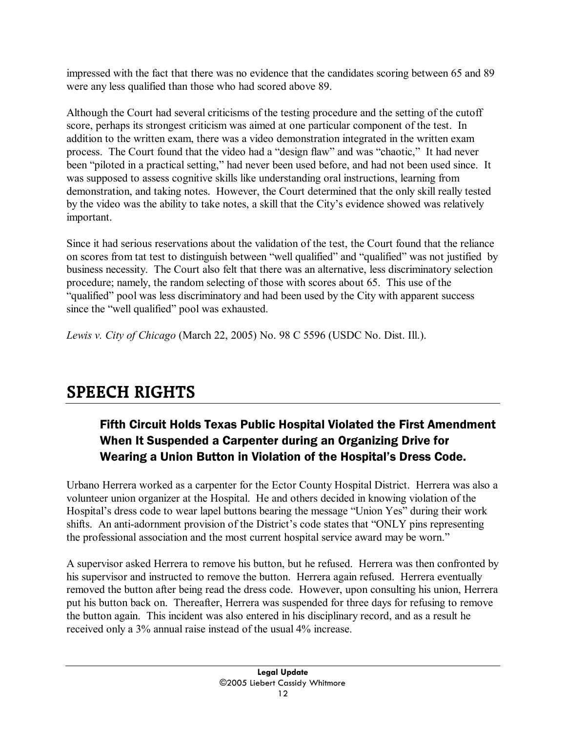impressed with the fact that there was no evidence that the candidates scoring between 65 and 89 were any less qualified than those who had scored above 89.

Although the Court had several criticisms of the testing procedure and the setting of the cutoff score, perhaps its strongest criticism was aimed at one particular component of the test. In addition to the written exam, there was a video demonstration integrated in the written exam process. The Court found that the video had a "design flaw" and was "chaotic," It had never been "piloted in a practical setting," had never been used before, and had not been used since. It was supposed to assess cognitive skills like understanding oral instructions, learning from demonstration, and taking notes. However, the Court determined that the only skill really tested by the video was the ability to take notes, a skill that the City's evidence showed was relatively important.

Since it had serious reservations about the validation of the test, the Court found that the reliance on scores from tat test to distinguish between "well qualified" and "qualified" was not justified by business necessity. The Court also felt that there was an alternative, less discriminatory selection procedure; namely, the random selecting of those with scores about 65. This use of the "qualified" pool was less discriminatory and had been used by the City with apparent success since the "well qualified" pool was exhausted.

*Lewis v. City of Chicago* (March 22, 2005) No. 98 C 5596 (USDC No. Dist. Ill.).

## **SPEECH RIGHTS**

## Fifth Circuit Holds Texas Public Hospital Violated the First Amendment When It Suspended a Carpenter during an Organizing Drive for Wearing a Union Button in Violation of the Hospital's Dress Code.

Urbano Herrera worked as a carpenter for the Ector County Hospital District. Herrera was also a volunteer union organizer at the Hospital. He and others decided in knowing violation of the Hospital's dress code to wear lapel buttons bearing the message "Union Yes" during their work shifts. An anti-adornment provision of the District's code states that "ONLY pins representing the professional association and the most current hospital service award may be worn."

A supervisor asked Herrera to remove his button, but he refused. Herrera was then confronted by his supervisor and instructed to remove the button. Herrera again refused. Herrera eventually removed the button after being read the dress code. However, upon consulting his union, Herrera put his button back on. Thereafter, Herrera was suspended for three days for refusing to remove the button again. This incident was also entered in his disciplinary record, and as a result he received only a 3% annual raise instead of the usual 4% increase.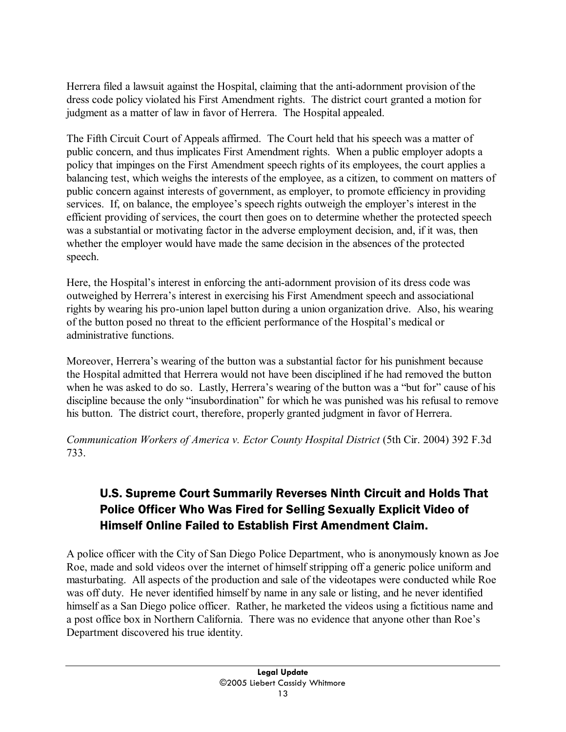Herrera filed a lawsuit against the Hospital, claiming that the anti-adornment provision of the dress code policy violated his First Amendment rights. The district court granted a motion for judgment as a matter of law in favor of Herrera. The Hospital appealed.

The Fifth Circuit Court of Appeals affirmed. The Court held that his speech was a matter of public concern, and thus implicates First Amendment rights. When a public employer adopts a policy that impinges on the First Amendment speech rights of its employees, the court applies a balancing test, which weighs the interests of the employee, as a citizen, to comment on matters of public concern against interests of government, as employer, to promote efficiency in providing services. If, on balance, the employee's speech rights outweigh the employer's interest in the efficient providing of services, the court then goes on to determine whether the protected speech was a substantial or motivating factor in the adverse employment decision, and, if it was, then whether the employer would have made the same decision in the absences of the protected speech.

Here, the Hospital's interest in enforcing the anti-adornment provision of its dress code was outweighed by Herrera's interest in exercising his First Amendment speech and associational rights by wearing his pro-union lapel button during a union organization drive. Also, his wearing of the button posed no threat to the efficient performance of the Hospital's medical or administrative functions.

Moreover, Herrera's wearing of the button was a substantial factor for his punishment because the Hospital admitted that Herrera would not have been disciplined if he had removed the button when he was asked to do so. Lastly, Herrera's wearing of the button was a "but for" cause of his discipline because the only "insubordination" for which he was punished was his refusal to remove his button. The district court, therefore, properly granted judgment in favor of Herrera.

*Communication Workers of America v. Ector County Hospital District* (5th Cir. 2004) 392 F.3d 733.

## U.S. Supreme Court Summarily Reverses Ninth Circuit and Holds That Police Officer Who Was Fired for Selling Sexually Explicit Video of Himself Online Failed to Establish First Amendment Claim.

A police officer with the City of San Diego Police Department, who is anonymously known as Joe Roe, made and sold videos over the internet of himself stripping off a generic police uniform and masturbating. All aspects of the production and sale of the videotapes were conducted while Roe was off duty. He never identified himself by name in any sale or listing, and he never identified himself as a San Diego police officer. Rather, he marketed the videos using a fictitious name and a post office box in Northern California. There was no evidence that anyone other than Roe's Department discovered his true identity.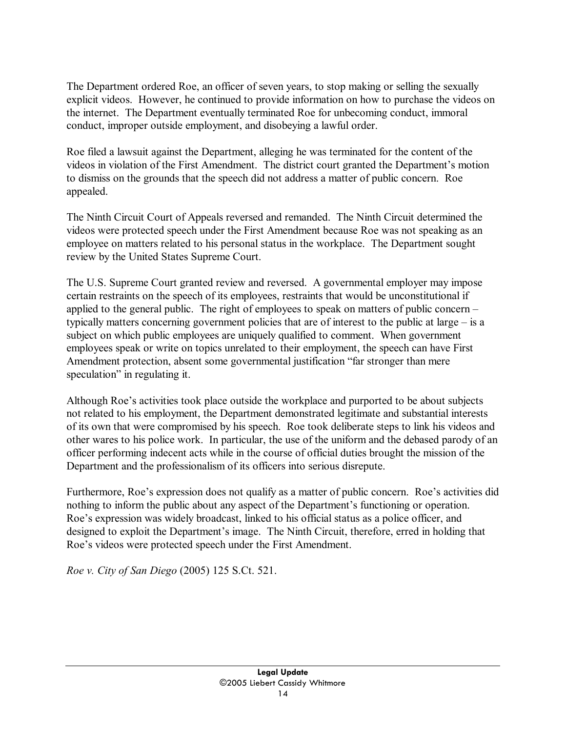The Department ordered Roe, an officer of seven years, to stop making or selling the sexually explicit videos. However, he continued to provide information on how to purchase the videos on the internet. The Department eventually terminated Roe for unbecoming conduct, immoral conduct, improper outside employment, and disobeying a lawful order.

Roe filed a lawsuit against the Department, alleging he was terminated for the content of the videos in violation of the First Amendment. The district court granted the Department's motion to dismiss on the grounds that the speech did not address a matter of public concern. Roe appealed.

The Ninth Circuit Court of Appeals reversed and remanded. The Ninth Circuit determined the videos were protected speech under the First Amendment because Roe was not speaking as an employee on matters related to his personal status in the workplace. The Department sought review by the United States Supreme Court.

The U.S. Supreme Court granted review and reversed. A governmental employer may impose certain restraints on the speech of its employees, restraints that would be unconstitutional if applied to the general public. The right of employees to speak on matters of public concern – typically matters concerning government policies that are of interest to the public at large – is a subject on which public employees are uniquely qualified to comment. When government employees speak or write on topics unrelated to their employment, the speech can have First Amendment protection, absent some governmental justification "far stronger than mere speculation" in regulating it.

Although Roe's activities took place outside the workplace and purported to be about subjects not related to his employment, the Department demonstrated legitimate and substantial interests of its own that were compromised by his speech. Roe took deliberate steps to link his videos and other wares to his police work. In particular, the use of the uniform and the debased parody of an officer performing indecent acts while in the course of official duties brought the mission of the Department and the professionalism of its officers into serious disrepute.

Furthermore, Roe's expression does not qualify as a matter of public concern. Roe's activities did nothing to inform the public about any aspect of the Department's functioning or operation. Roe's expression was widely broadcast, linked to his official status as a police officer, and designed to exploit the Department's image. The Ninth Circuit, therefore, erred in holding that Roe's videos were protected speech under the First Amendment.

*Roe v. City of San Diego* (2005) 125 S.Ct. 521.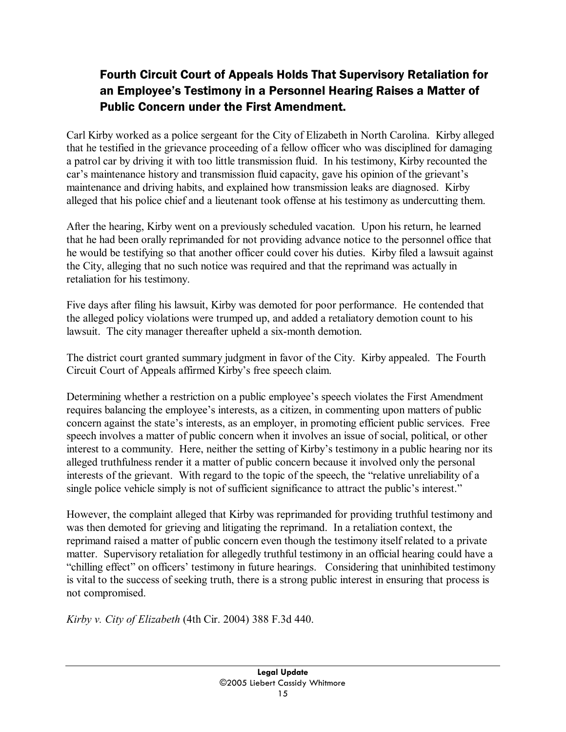## Fourth Circuit Court of Appeals Holds That Supervisory Retaliation for an Employee's Testimony in a Personnel Hearing Raises a Matter of Public Concern under the First Amendment.

Carl Kirby worked as a police sergeant for the City of Elizabeth in North Carolina. Kirby alleged that he testified in the grievance proceeding of a fellow officer who was disciplined for damaging a patrol car by driving it with too little transmission fluid. In his testimony, Kirby recounted the car's maintenance history and transmission fluid capacity, gave his opinion of the grievant's maintenance and driving habits, and explained how transmission leaks are diagnosed. Kirby alleged that his police chief and a lieutenant took offense at his testimony as undercutting them.

After the hearing, Kirby went on a previously scheduled vacation. Upon his return, he learned that he had been orally reprimanded for not providing advance notice to the personnel office that he would be testifying so that another officer could cover his duties. Kirby filed a lawsuit against the City, alleging that no such notice was required and that the reprimand was actually in retaliation for his testimony.

Five days after filing his lawsuit, Kirby was demoted for poor performance. He contended that the alleged policy violations were trumped up, and added a retaliatory demotion count to his lawsuit. The city manager thereafter upheld a six-month demotion.

The district court granted summary judgment in favor of the City. Kirby appealed. The Fourth Circuit Court of Appeals affirmed Kirby's free speech claim.

Determining whether a restriction on a public employee's speech violates the First Amendment requires balancing the employee's interests, as a citizen, in commenting upon matters of public concern against the state's interests, as an employer, in promoting efficient public services. Free speech involves a matter of public concern when it involves an issue of social, political, or other interest to a community. Here, neither the setting of Kirby's testimony in a public hearing nor its alleged truthfulness render it a matter of public concern because it involved only the personal interests of the grievant. With regard to the topic of the speech, the "relative unreliability of a single police vehicle simply is not of sufficient significance to attract the public's interest."

However, the complaint alleged that Kirby was reprimanded for providing truthful testimony and was then demoted for grieving and litigating the reprimand. In a retaliation context, the reprimand raised a matter of public concern even though the testimony itself related to a private matter. Supervisory retaliation for allegedly truthful testimony in an official hearing could have a "chilling effect" on officers' testimony in future hearings. Considering that uninhibited testimony is vital to the success of seeking truth, there is a strong public interest in ensuring that process is not compromised.

*Kirby v. City of Elizabeth* (4th Cir. 2004) 388 F.3d 440.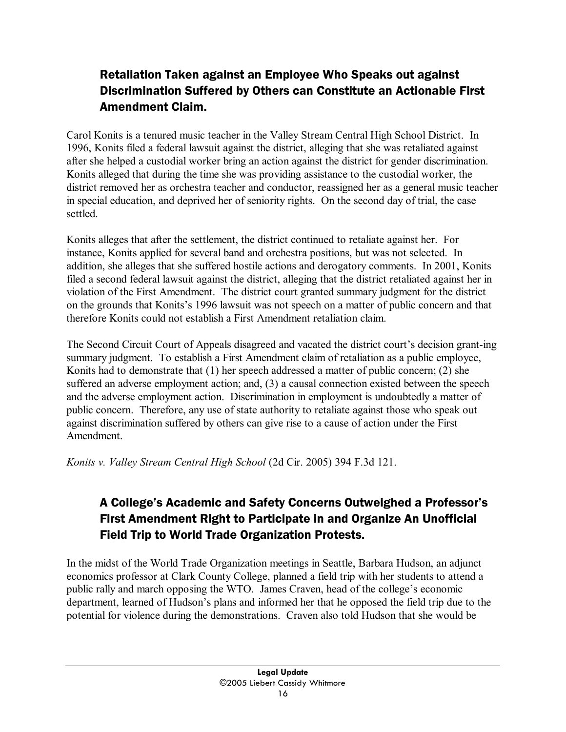## Retaliation Taken against an Employee Who Speaks out against Discrimination Suffered by Others can Constitute an Actionable First Amendment Claim.

Carol Konits is a tenured music teacher in the Valley Stream Central High School District. In 1996, Konits filed a federal lawsuit against the district, alleging that she was retaliated against after she helped a custodial worker bring an action against the district for gender discrimination. Konits alleged that during the time she was providing assistance to the custodial worker, the district removed her as orchestra teacher and conductor, reassigned her as a general music teacher in special education, and deprived her of seniority rights. On the second day of trial, the case settled.

Konits alleges that after the settlement, the district continued to retaliate against her. For instance, Konits applied for several band and orchestra positions, but was not selected. In addition, she alleges that she suffered hostile actions and derogatory comments. In 2001, Konits filed a second federal lawsuit against the district, alleging that the district retaliated against her in violation of the First Amendment. The district court granted summary judgment for the district on the grounds that Konits's 1996 lawsuit was not speech on a matter of public concern and that therefore Konits could not establish a First Amendment retaliation claim.

The Second Circuit Court of Appeals disagreed and vacated the district court's decision grant-ing summary judgment. To establish a First Amendment claim of retaliation as a public employee, Konits had to demonstrate that (1) her speech addressed a matter of public concern; (2) she suffered an adverse employment action; and, (3) a causal connection existed between the speech and the adverse employment action. Discrimination in employment is undoubtedly a matter of public concern. Therefore, any use of state authority to retaliate against those who speak out against discrimination suffered by others can give rise to a cause of action under the First Amendment.

*Konits v. Valley Stream Central High School* (2d Cir. 2005) 394 F.3d 121.

## A College's Academic and Safety Concerns Outweighed a Professor's First Amendment Right to Participate in and Organize An Unofficial Field Trip to World Trade Organization Protests.

In the midst of the World Trade Organization meetings in Seattle, Barbara Hudson, an adjunct economics professor at Clark County College, planned a field trip with her students to attend a public rally and march opposing the WTO. James Craven, head of the college's economic department, learned of Hudson's plans and informed her that he opposed the field trip due to the potential for violence during the demonstrations. Craven also told Hudson that she would be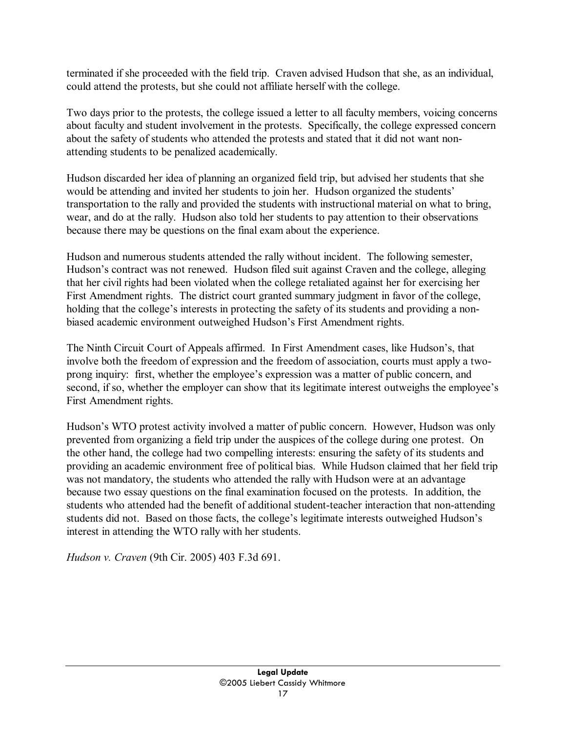terminated if she proceeded with the field trip. Craven advised Hudson that she, as an individual, could attend the protests, but she could not affiliate herself with the college.

Two days prior to the protests, the college issued a letter to all faculty members, voicing concerns about faculty and student involvement in the protests. Specifically, the college expressed concern about the safety of students who attended the protests and stated that it did not want nonattending students to be penalized academically.

Hudson discarded her idea of planning an organized field trip, but advised her students that she would be attending and invited her students to join her. Hudson organized the students' transportation to the rally and provided the students with instructional material on what to bring, wear, and do at the rally. Hudson also told her students to pay attention to their observations because there may be questions on the final exam about the experience.

Hudson and numerous students attended the rally without incident. The following semester, Hudson's contract was not renewed. Hudson filed suit against Craven and the college, alleging that her civil rights had been violated when the college retaliated against her for exercising her First Amendment rights. The district court granted summary judgment in favor of the college, holding that the college's interests in protecting the safety of its students and providing a nonbiased academic environment outweighed Hudson's First Amendment rights.

The Ninth Circuit Court of Appeals affirmed. In First Amendment cases, like Hudson's, that involve both the freedom of expression and the freedom of association, courts must apply a twoprong inquiry: first, whether the employee's expression was a matter of public concern, and second, if so, whether the employer can show that its legitimate interest outweighs the employee's First Amendment rights.

Hudson's WTO protest activity involved a matter of public concern. However, Hudson was only prevented from organizing a field trip under the auspices of the college during one protest. On the other hand, the college had two compelling interests: ensuring the safety of its students and providing an academic environment free of political bias. While Hudson claimed that her field trip was not mandatory, the students who attended the rally with Hudson were at an advantage because two essay questions on the final examination focused on the protests. In addition, the students who attended had the benefit of additional student-teacher interaction that non-attending students did not. Based on those facts, the college's legitimate interests outweighed Hudson's interest in attending the WTO rally with her students.

*Hudson v. Craven* (9th Cir. 2005) 403 F.3d 691.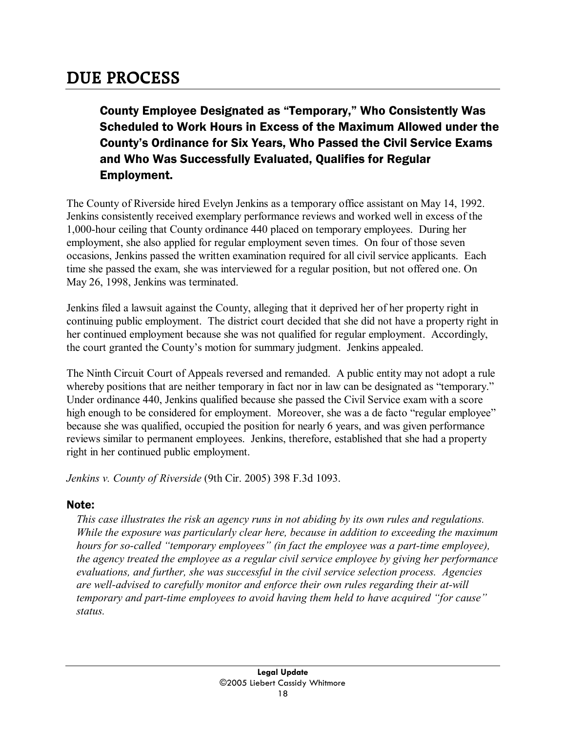## **DUE PROCESS**

County Employee Designated as "Temporary," Who Consistently Was Scheduled to Work Hours in Excess of the Maximum Allowed under the County's Ordinance for Six Years, Who Passed the Civil Service Exams and Who Was Successfully Evaluated, Qualifies for Regular Employment.

The County of Riverside hired Evelyn Jenkins as a temporary office assistant on May 14, 1992. Jenkins consistently received exemplary performance reviews and worked well in excess of the 1,000-hour ceiling that County ordinance 440 placed on temporary employees. During her employment, she also applied for regular employment seven times. On four of those seven occasions, Jenkins passed the written examination required for all civil service applicants. Each time she passed the exam, she was interviewed for a regular position, but not offered one. On May 26, 1998, Jenkins was terminated.

Jenkins filed a lawsuit against the County, alleging that it deprived her of her property right in continuing public employment. The district court decided that she did not have a property right in her continued employment because she was not qualified for regular employment. Accordingly, the court granted the County's motion for summary judgment. Jenkins appealed.

The Ninth Circuit Court of Appeals reversed and remanded. A public entity may not adopt a rule whereby positions that are neither temporary in fact nor in law can be designated as "temporary." Under ordinance 440, Jenkins qualified because she passed the Civil Service exam with a score high enough to be considered for employment. Moreover, she was a de facto "regular employee" because she was qualified, occupied the position for nearly 6 years, and was given performance reviews similar to permanent employees. Jenkins, therefore, established that she had a property right in her continued public employment.

*Jenkins v. County of Riverside* (9th Cir. 2005) 398 F.3d 1093.

### Note:

*This case illustrates the risk an agency runs in not abiding by its own rules and regulations. While the exposure was particularly clear here, because in addition to exceeding the maximum hours for so-called "temporary employees" (in fact the employee was a part-time employee), the agency treated the employee as a regular civil service employee by giving her performance evaluations, and further, she was successful in the civil service selection process. Agencies are well-advised to carefully monitor and enforce their own rules regarding their at-will temporary and part-time employees to avoid having them held to have acquired "for cause" status.*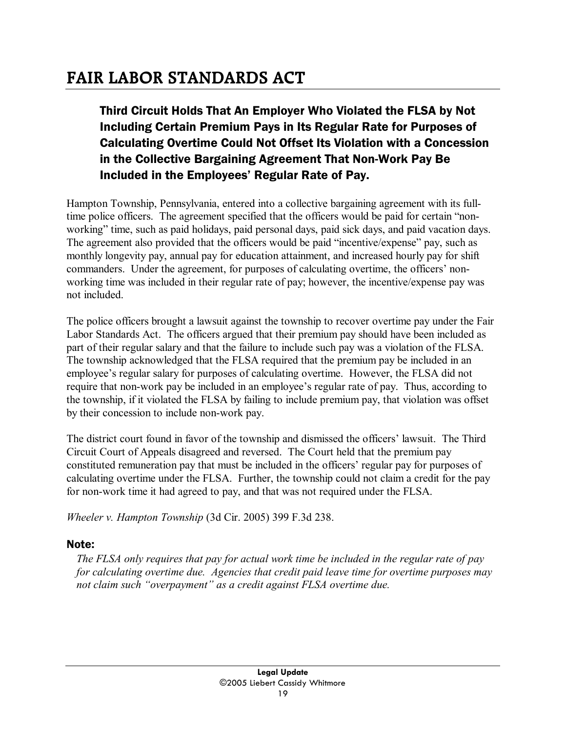## **FAIR LABOR STANDARDS ACT**

## Third Circuit Holds That An Employer Who Violated the FLSA by Not Including Certain Premium Pays in Its Regular Rate for Purposes of Calculating Overtime Could Not Offset Its Violation with a Concession in the Collective Bargaining Agreement That Non-Work Pay Be Included in the Employees' Regular Rate of Pay.

Hampton Township, Pennsylvania, entered into a collective bargaining agreement with its fulltime police officers. The agreement specified that the officers would be paid for certain "nonworking" time, such as paid holidays, paid personal days, paid sick days, and paid vacation days. The agreement also provided that the officers would be paid "incentive/expense" pay, such as monthly longevity pay, annual pay for education attainment, and increased hourly pay for shift commanders. Under the agreement, for purposes of calculating overtime, the officers' nonworking time was included in their regular rate of pay; however, the incentive/expense pay was not included.

The police officers brought a lawsuit against the township to recover overtime pay under the Fair Labor Standards Act. The officers argued that their premium pay should have been included as part of their regular salary and that the failure to include such pay was a violation of the FLSA. The township acknowledged that the FLSA required that the premium pay be included in an employee's regular salary for purposes of calculating overtime. However, the FLSA did not require that non-work pay be included in an employee's regular rate of pay. Thus, according to the township, if it violated the FLSA by failing to include premium pay, that violation was offset by their concession to include non-work pay.

The district court found in favor of the township and dismissed the officers' lawsuit. The Third Circuit Court of Appeals disagreed and reversed. The Court held that the premium pay constituted remuneration pay that must be included in the officers' regular pay for purposes of calculating overtime under the FLSA. Further, the township could not claim a credit for the pay for non-work time it had agreed to pay, and that was not required under the FLSA.

*Wheeler v. Hampton Township* (3d Cir. 2005) 399 F.3d 238.

### Note:

*The FLSA only requires that pay for actual work time be included in the regular rate of pay for calculating overtime due. Agencies that credit paid leave time for overtime purposes may not claim such "overpayment" as a credit against FLSA overtime due.*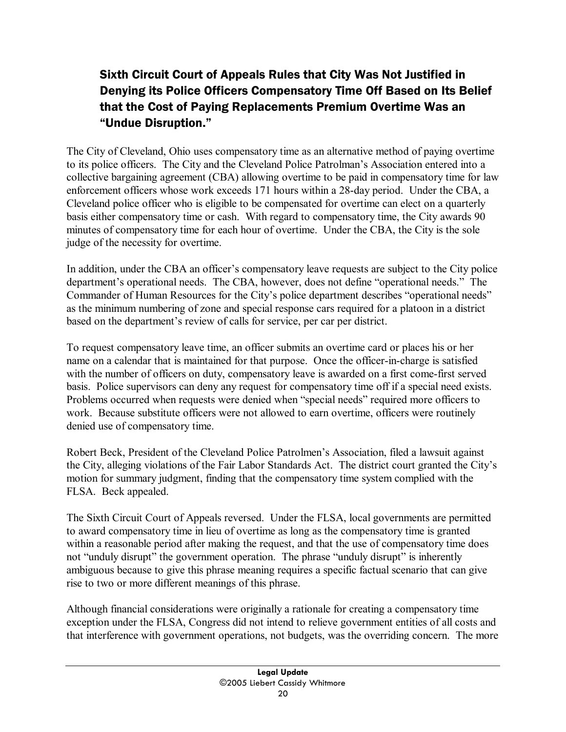## Sixth Circuit Court of Appeals Rules that City Was Not Justified in Denying its Police Officers Compensatory Time Off Based on Its Belief that the Cost of Paying Replacements Premium Overtime Was an "Undue Disruption."

The City of Cleveland, Ohio uses compensatory time as an alternative method of paying overtime to its police officers. The City and the Cleveland Police Patrolman's Association entered into a collective bargaining agreement (CBA) allowing overtime to be paid in compensatory time for law enforcement officers whose work exceeds 171 hours within a 28-day period. Under the CBA, a Cleveland police officer who is eligible to be compensated for overtime can elect on a quarterly basis either compensatory time or cash. With regard to compensatory time, the City awards 90 minutes of compensatory time for each hour of overtime. Under the CBA, the City is the sole judge of the necessity for overtime.

In addition, under the CBA an officer's compensatory leave requests are subject to the City police department's operational needs. The CBA, however, does not define "operational needs." The Commander of Human Resources for the City's police department describes "operational needs" as the minimum numbering of zone and special response cars required for a platoon in a district based on the department's review of calls for service, per car per district.

To request compensatory leave time, an officer submits an overtime card or places his or her name on a calendar that is maintained for that purpose. Once the officer-in-charge is satisfied with the number of officers on duty, compensatory leave is awarded on a first come-first served basis. Police supervisors can deny any request for compensatory time off if a special need exists. Problems occurred when requests were denied when "special needs" required more officers to work. Because substitute officers were not allowed to earn overtime, officers were routinely denied use of compensatory time.

Robert Beck, President of the Cleveland Police Patrolmen's Association, filed a lawsuit against the City, alleging violations of the Fair Labor Standards Act. The district court granted the City's motion for summary judgment, finding that the compensatory time system complied with the FLSA. Beck appealed.

The Sixth Circuit Court of Appeals reversed. Under the FLSA, local governments are permitted to award compensatory time in lieu of overtime as long as the compensatory time is granted within a reasonable period after making the request, and that the use of compensatory time does not "unduly disrupt" the government operation. The phrase "unduly disrupt" is inherently ambiguous because to give this phrase meaning requires a specific factual scenario that can give rise to two or more different meanings of this phrase.

Although financial considerations were originally a rationale for creating a compensatory time exception under the FLSA, Congress did not intend to relieve government entities of all costs and that interference with government operations, not budgets, was the overriding concern. The more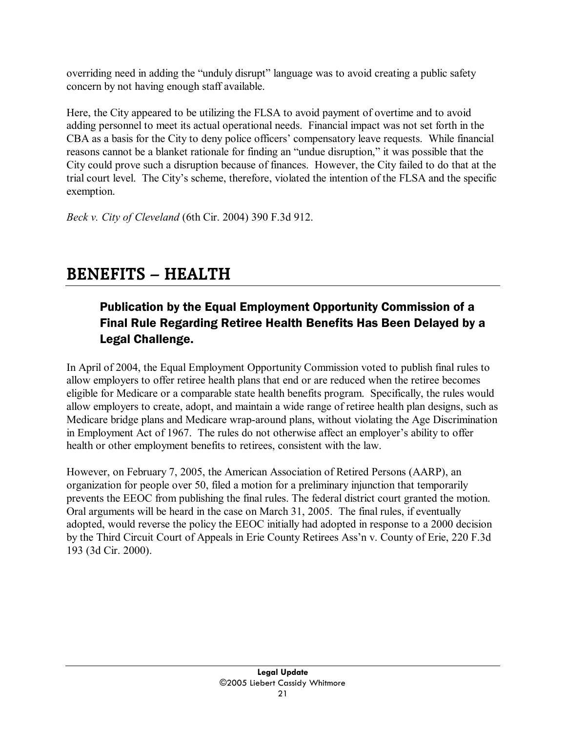overriding need in adding the "unduly disrupt" language was to avoid creating a public safety concern by not having enough staff available.

Here, the City appeared to be utilizing the FLSA to avoid payment of overtime and to avoid adding personnel to meet its actual operational needs. Financial impact was not set forth in the CBA as a basis for the City to deny police officers' compensatory leave requests. While financial reasons cannot be a blanket rationale for finding an "undue disruption," it was possible that the City could prove such a disruption because of finances. However, the City failed to do that at the trial court level. The City's scheme, therefore, violated the intention of the FLSA and the specific exemption.

*Beck v. City of Cleveland* (6th Cir. 2004) 390 F.3d 912.

## **BENEFITS – HEALTH**

## Publication by the Equal Employment Opportunity Commission of a Final Rule Regarding Retiree Health Benefits Has Been Delayed by a Legal Challenge.

In April of 2004, the Equal Employment Opportunity Commission voted to publish final rules to allow employers to offer retiree health plans that end or are reduced when the retiree becomes eligible for Medicare or a comparable state health benefits program. Specifically, the rules would allow employers to create, adopt, and maintain a wide range of retiree health plan designs, such as Medicare bridge plans and Medicare wrap-around plans, without violating the Age Discrimination in Employment Act of 1967. The rules do not otherwise affect an employer's ability to offer health or other employment benefits to retirees, consistent with the law.

However, on February 7, 2005, the American Association of Retired Persons (AARP), an organization for people over 50, filed a motion for a preliminary injunction that temporarily prevents the EEOC from publishing the final rules. The federal district court granted the motion. Oral arguments will be heard in the case on March 31, 2005. The final rules, if eventually adopted, would reverse the policy the EEOC initially had adopted in response to a 2000 decision by the Third Circuit Court of Appeals in Erie County Retirees Ass'n v. County of Erie, 220 F.3d 193 (3d Cir. 2000).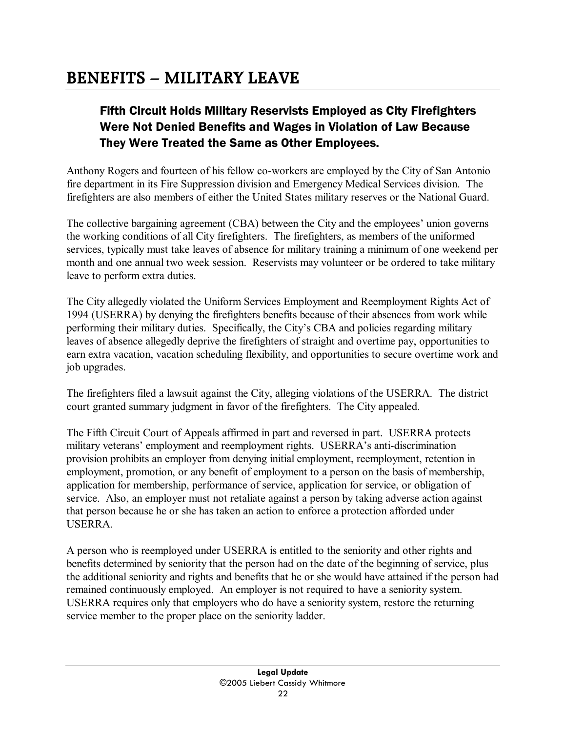## **BENEFITS – MILITARY LEAVE**

## Fifth Circuit Holds Military Reservists Employed as City Firefighters Were Not Denied Benefits and Wages in Violation of Law Because They Were Treated the Same as Other Employees.

Anthony Rogers and fourteen of his fellow co-workers are employed by the City of San Antonio fire department in its Fire Suppression division and Emergency Medical Services division. The firefighters are also members of either the United States military reserves or the National Guard.

The collective bargaining agreement (CBA) between the City and the employees' union governs the working conditions of all City firefighters. The firefighters, as members of the uniformed services, typically must take leaves of absence for military training a minimum of one weekend per month and one annual two week session. Reservists may volunteer or be ordered to take military leave to perform extra duties.

The City allegedly violated the Uniform Services Employment and Reemployment Rights Act of 1994 (USERRA) by denying the firefighters benefits because of their absences from work while performing their military duties. Specifically, the City's CBA and policies regarding military leaves of absence allegedly deprive the firefighters of straight and overtime pay, opportunities to earn extra vacation, vacation scheduling flexibility, and opportunities to secure overtime work and job upgrades.

The firefighters filed a lawsuit against the City, alleging violations of the USERRA. The district court granted summary judgment in favor of the firefighters. The City appealed.

The Fifth Circuit Court of Appeals affirmed in part and reversed in part. USERRA protects military veterans' employment and reemployment rights. USERRA's anti-discrimination provision prohibits an employer from denying initial employment, reemployment, retention in employment, promotion, or any benefit of employment to a person on the basis of membership, application for membership, performance of service, application for service, or obligation of service. Also, an employer must not retaliate against a person by taking adverse action against that person because he or she has taken an action to enforce a protection afforded under USERRA.

A person who is reemployed under USERRA is entitled to the seniority and other rights and benefits determined by seniority that the person had on the date of the beginning of service, plus the additional seniority and rights and benefits that he or she would have attained if the person had remained continuously employed. An employer is not required to have a seniority system. USERRA requires only that employers who do have a seniority system, restore the returning service member to the proper place on the seniority ladder.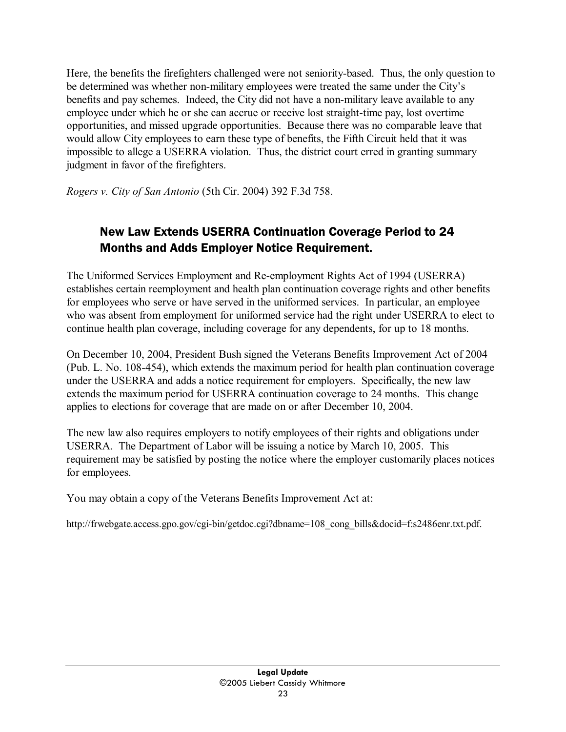Here, the benefits the firefighters challenged were not seniority-based. Thus, the only question to be determined was whether non-military employees were treated the same under the City's benefits and pay schemes. Indeed, the City did not have a non-military leave available to any employee under which he or she can accrue or receive lost straight-time pay, lost overtime opportunities, and missed upgrade opportunities. Because there was no comparable leave that would allow City employees to earn these type of benefits, the Fifth Circuit held that it was impossible to allege a USERRA violation. Thus, the district court erred in granting summary judgment in favor of the firefighters.

*Rogers v. City of San Antonio* (5th Cir. 2004) 392 F.3d 758.

## New Law Extends USERRA Continuation Coverage Period to 24 Months and Adds Employer Notice Requirement.

The Uniformed Services Employment and Re-employment Rights Act of 1994 (USERRA) establishes certain reemployment and health plan continuation coverage rights and other benefits for employees who serve or have served in the uniformed services. In particular, an employee who was absent from employment for uniformed service had the right under USERRA to elect to continue health plan coverage, including coverage for any dependents, for up to 18 months.

On December 10, 2004, President Bush signed the Veterans Benefits Improvement Act of 2004 (Pub. L. No. 108-454), which extends the maximum period for health plan continuation coverage under the USERRA and adds a notice requirement for employers. Specifically, the new law extends the maximum period for USERRA continuation coverage to 24 months. This change applies to elections for coverage that are made on or after December 10, 2004.

The new law also requires employers to notify employees of their rights and obligations under USERRA. The Department of Labor will be issuing a notice by March 10, 2005. This requirement may be satisfied by posting the notice where the employer customarily places notices for employees.

You may obtain a copy of the Veterans Benefits Improvement Act at:

http://frwebgate.access.gpo.gov/cgi-bin/getdoc.cgi?dbname=108\_cong\_bills&docid=f:s2486enr.txt.pdf.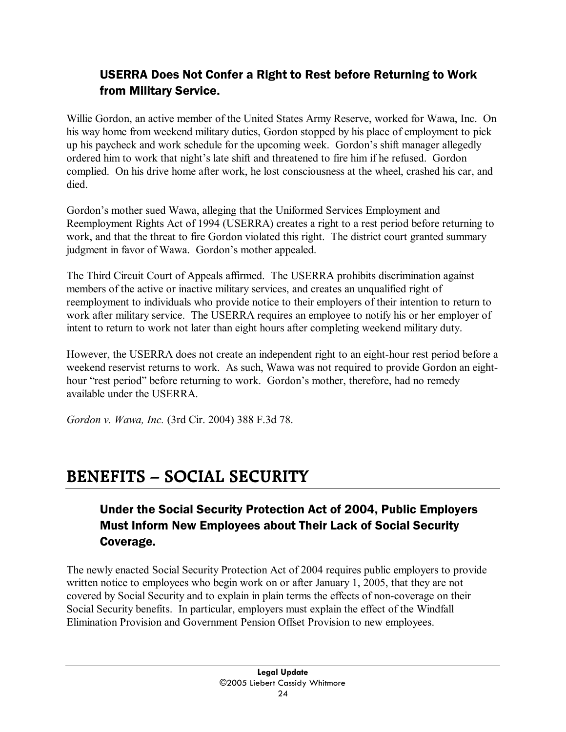## USERRA Does Not Confer a Right to Rest before Returning to Work from Military Service.

Willie Gordon, an active member of the United States Army Reserve, worked for Wawa, Inc. On his way home from weekend military duties, Gordon stopped by his place of employment to pick up his paycheck and work schedule for the upcoming week. Gordon's shift manager allegedly ordered him to work that night's late shift and threatened to fire him if he refused. Gordon complied. On his drive home after work, he lost consciousness at the wheel, crashed his car, and died.

Gordon's mother sued Wawa, alleging that the Uniformed Services Employment and Reemployment Rights Act of 1994 (USERRA) creates a right to a rest period before returning to work, and that the threat to fire Gordon violated this right. The district court granted summary judgment in favor of Wawa. Gordon's mother appealed.

The Third Circuit Court of Appeals affirmed. The USERRA prohibits discrimination against members of the active or inactive military services, and creates an unqualified right of reemployment to individuals who provide notice to their employers of their intention to return to work after military service. The USERRA requires an employee to notify his or her employer of intent to return to work not later than eight hours after completing weekend military duty.

However, the USERRA does not create an independent right to an eight-hour rest period before a weekend reservist returns to work. As such, Wawa was not required to provide Gordon an eighthour "rest period" before returning to work. Gordon's mother, therefore, had no remedy available under the USERRA.

*Gordon v. Wawa, Inc.* (3rd Cir. 2004) 388 F.3d 78.

## **BENEFITS – SOCIAL SECURITY**

## Under the Social Security Protection Act of 2004, Public Employers Must Inform New Employees about Their Lack of Social Security Coverage.

The newly enacted Social Security Protection Act of 2004 requires public employers to provide written notice to employees who begin work on or after January 1, 2005, that they are not covered by Social Security and to explain in plain terms the effects of non-coverage on their Social Security benefits. In particular, employers must explain the effect of the Windfall Elimination Provision and Government Pension Offset Provision to new employees.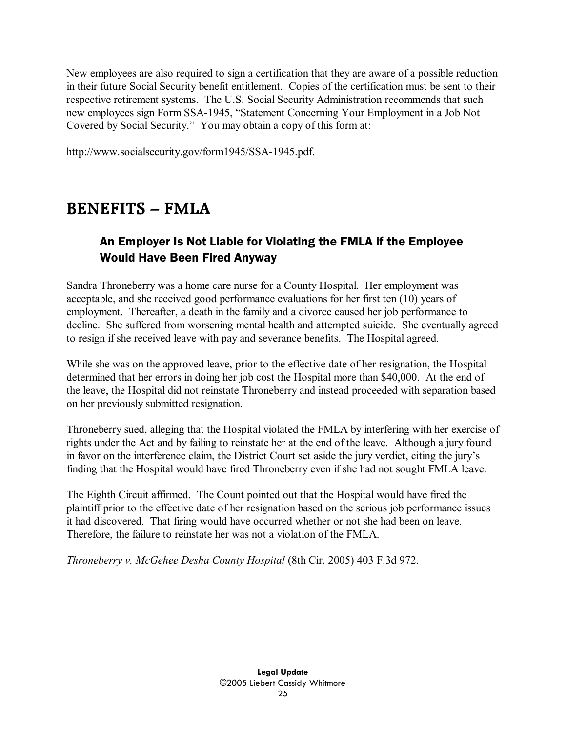New employees are also required to sign a certification that they are aware of a possible reduction in their future Social Security benefit entitlement. Copies of the certification must be sent to their respective retirement systems. The U.S. Social Security Administration recommends that such new employees sign Form SSA-1945, "Statement Concerning Your Employment in a Job Not Covered by Social Security." You may obtain a copy of this form at:

http://www.socialsecurity.gov/form1945/SSA-1945.pdf.

## **BENEFITS – FMLA**

### An Employer Is Not Liable for Violating the FMLA if the Employee Would Have Been Fired Anyway

Sandra Throneberry was a home care nurse for a County Hospital. Her employment was acceptable, and she received good performance evaluations for her first ten (10) years of employment. Thereafter, a death in the family and a divorce caused her job performance to decline. She suffered from worsening mental health and attempted suicide. She eventually agreed to resign if she received leave with pay and severance benefits. The Hospital agreed.

While she was on the approved leave, prior to the effective date of her resignation, the Hospital determined that her errors in doing her job cost the Hospital more than \$40,000. At the end of the leave, the Hospital did not reinstate Throneberry and instead proceeded with separation based on her previously submitted resignation.

Throneberry sued, alleging that the Hospital violated the FMLA by interfering with her exercise of rights under the Act and by failing to reinstate her at the end of the leave. Although a jury found in favor on the interference claim, the District Court set aside the jury verdict, citing the jury's finding that the Hospital would have fired Throneberry even if she had not sought FMLA leave.

The Eighth Circuit affirmed. The Count pointed out that the Hospital would have fired the plaintiff prior to the effective date of her resignation based on the serious job performance issues it had discovered. That firing would have occurred whether or not she had been on leave. Therefore, the failure to reinstate her was not a violation of the FMLA.

*Throneberry v. McGehee Desha County Hospital* (8th Cir. 2005) 403 F.3d 972.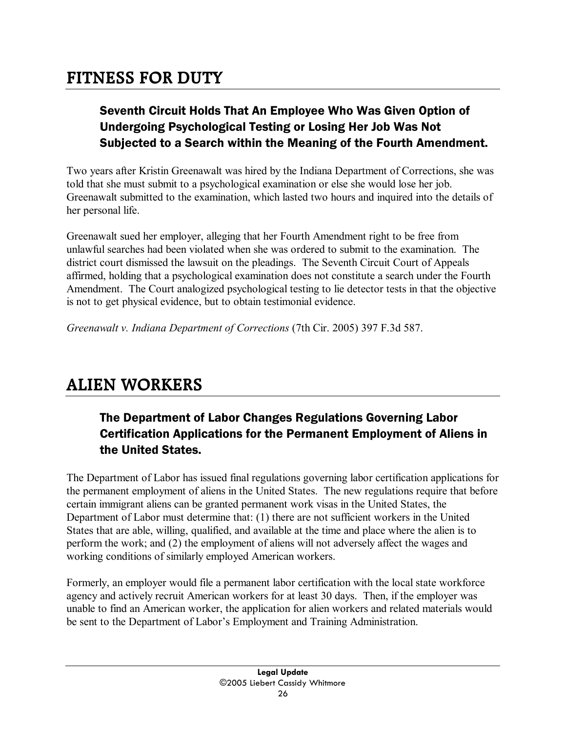## **FITNESS FOR DUTY**

## Seventh Circuit Holds That An Employee Who Was Given Option of Undergoing Psychological Testing or Losing Her Job Was Not Subjected to a Search within the Meaning of the Fourth Amendment.

Two years after Kristin Greenawalt was hired by the Indiana Department of Corrections, she was told that she must submit to a psychological examination or else she would lose her job. Greenawalt submitted to the examination, which lasted two hours and inquired into the details of her personal life.

Greenawalt sued her employer, alleging that her Fourth Amendment right to be free from unlawful searches had been violated when she was ordered to submit to the examination. The district court dismissed the lawsuit on the pleadings. The Seventh Circuit Court of Appeals affirmed, holding that a psychological examination does not constitute a search under the Fourth Amendment. The Court analogized psychological testing to lie detector tests in that the objective is not to get physical evidence, but to obtain testimonial evidence.

*Greenawalt v. Indiana Department of Corrections* (7th Cir. 2005) 397 F.3d 587.

## **ALIEN WORKERS**

## The Department of Labor Changes Regulations Governing Labor Certification Applications for the Permanent Employment of Aliens in the United States.

The Department of Labor has issued final regulations governing labor certification applications for the permanent employment of aliens in the United States. The new regulations require that before certain immigrant aliens can be granted permanent work visas in the United States, the Department of Labor must determine that: (1) there are not sufficient workers in the United States that are able, willing, qualified, and available at the time and place where the alien is to perform the work; and (2) the employment of aliens will not adversely affect the wages and working conditions of similarly employed American workers.

Formerly, an employer would file a permanent labor certification with the local state workforce agency and actively recruit American workers for at least 30 days. Then, if the employer was unable to find an American worker, the application for alien workers and related materials would be sent to the Department of Labor's Employment and Training Administration.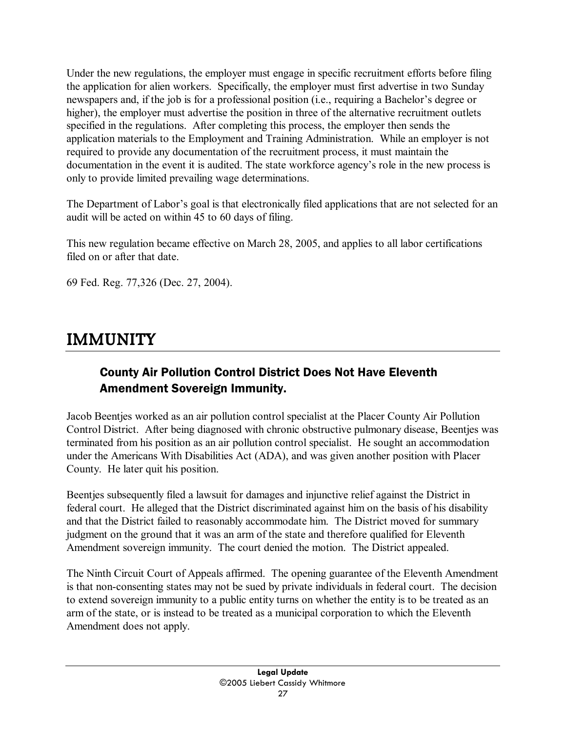Under the new regulations, the employer must engage in specific recruitment efforts before filing the application for alien workers. Specifically, the employer must first advertise in two Sunday newspapers and, if the job is for a professional position (i.e., requiring a Bachelor's degree or higher), the employer must advertise the position in three of the alternative recruitment outlets specified in the regulations. After completing this process, the employer then sends the application materials to the Employment and Training Administration. While an employer is not required to provide any documentation of the recruitment process, it must maintain the documentation in the event it is audited. The state workforce agency's role in the new process is only to provide limited prevailing wage determinations.

The Department of Labor's goal is that electronically filed applications that are not selected for an audit will be acted on within 45 to 60 days of filing.

This new regulation became effective on March 28, 2005, and applies to all labor certifications filed on or after that date.

69 Fed. Reg. 77,326 (Dec. 27, 2004).

## **IMMUNITY**

### County Air Pollution Control District Does Not Have Eleventh Amendment Sovereign Immunity.

Jacob Beentjes worked as an air pollution control specialist at the Placer County Air Pollution Control District. After being diagnosed with chronic obstructive pulmonary disease, Beentjes was terminated from his position as an air pollution control specialist. He sought an accommodation under the Americans With Disabilities Act (ADA), and was given another position with Placer County. He later quit his position.

Beentjes subsequently filed a lawsuit for damages and injunctive relief against the District in federal court. He alleged that the District discriminated against him on the basis of his disability and that the District failed to reasonably accommodate him. The District moved for summary judgment on the ground that it was an arm of the state and therefore qualified for Eleventh Amendment sovereign immunity. The court denied the motion. The District appealed.

The Ninth Circuit Court of Appeals affirmed. The opening guarantee of the Eleventh Amendment is that non-consenting states may not be sued by private individuals in federal court. The decision to extend sovereign immunity to a public entity turns on whether the entity is to be treated as an arm of the state, or is instead to be treated as a municipal corporation to which the Eleventh Amendment does not apply.